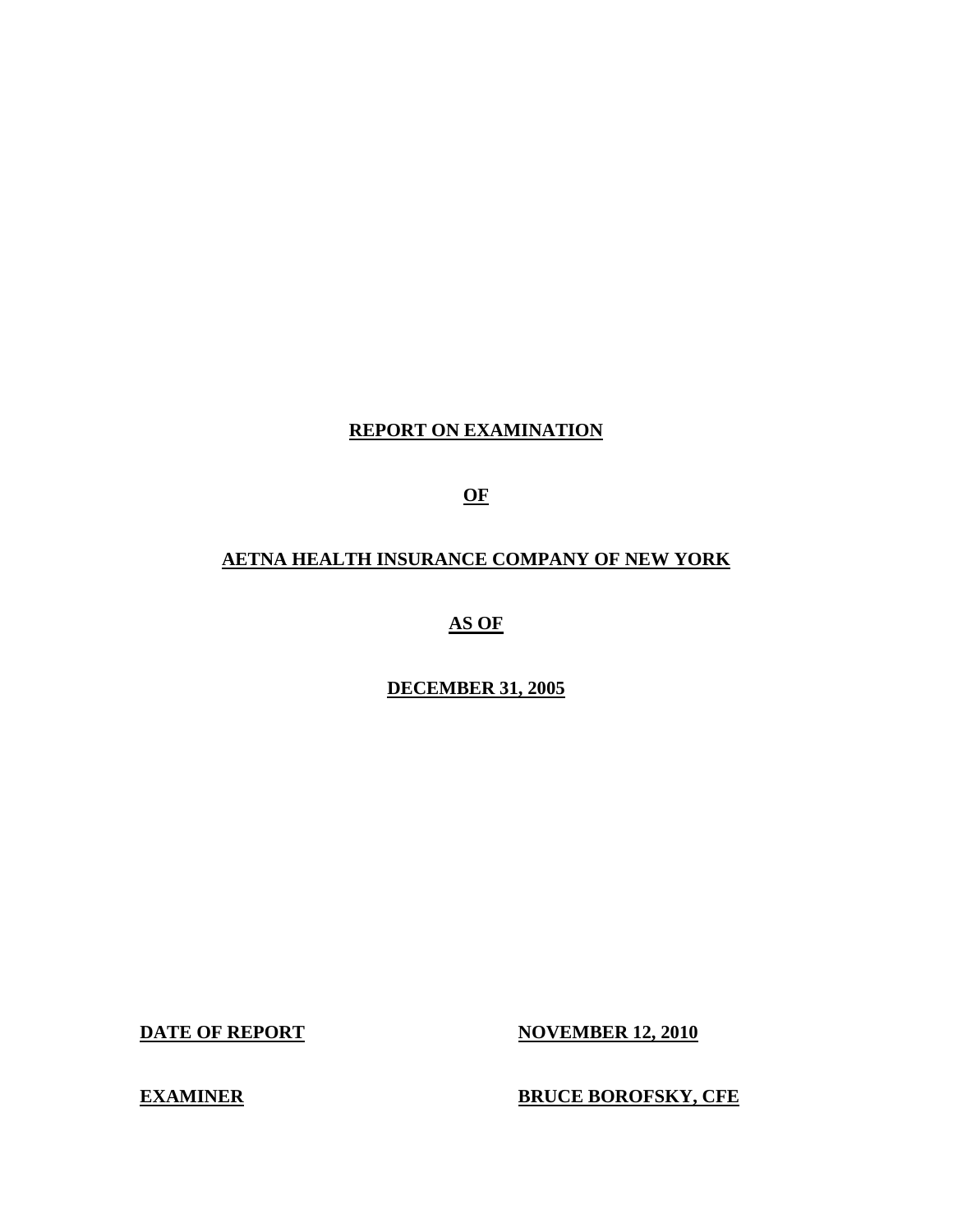# **REPORT ON EXAMINATION**

**OF** 

# **AETNA HEALTH INSURANCE COMPANY OF NEW YORK**

**AS OF** 

**DECEMBER 31, 2005** 

**DATE OF REPORT NOVEMBER 12, 2010** 

**EXAMINER BRUCE BOROFSKY, CFE**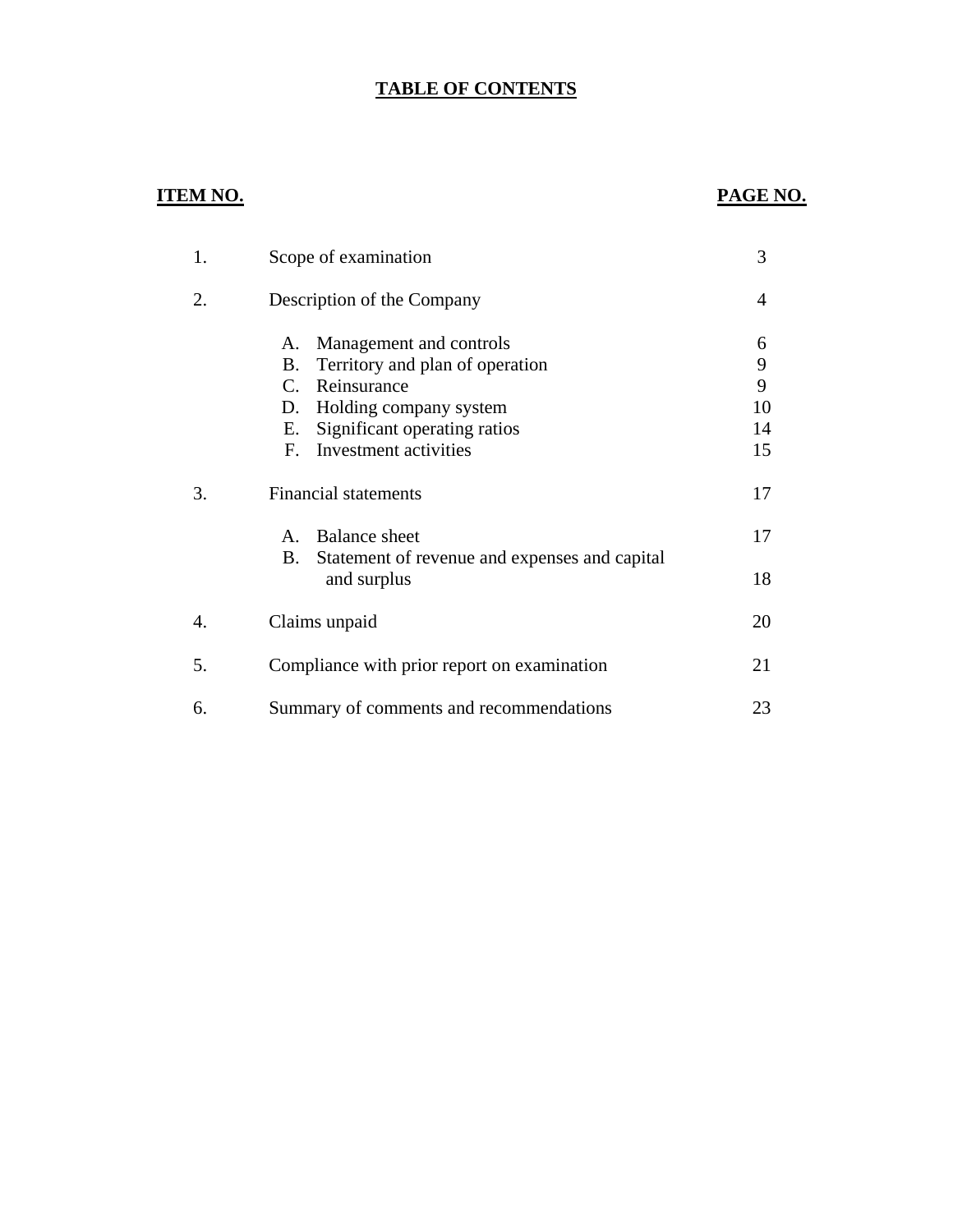# **TABLE OF CONTENTS**

# **ITEM NO. PAGE NO.**

| 1. | Scope of examination                                                                                                                                                                                               | 3                             |
|----|--------------------------------------------------------------------------------------------------------------------------------------------------------------------------------------------------------------------|-------------------------------|
| 2. | Description of the Company                                                                                                                                                                                         | 4                             |
|    | Management and controls<br>Α.<br>B.<br>Territory and plan of operation<br>Reinsurance<br>$C_{\cdot}$<br>Holding company system<br>D.<br>Significant operating ratios<br>Е.<br>Investment activities<br>$F_{\perp}$ | 6<br>9<br>9<br>10<br>14<br>15 |
| 3. | <b>Financial statements</b>                                                                                                                                                                                        | 17                            |
|    | <b>Balance</b> sheet<br>$A_{\cdot}$<br>B.<br>Statement of revenue and expenses and capital                                                                                                                         | 17                            |
|    | and surplus                                                                                                                                                                                                        | 18                            |
| 4. | Claims unpaid                                                                                                                                                                                                      | 20                            |
| 5. | Compliance with prior report on examination                                                                                                                                                                        | 21                            |
| 6. | Summary of comments and recommendations                                                                                                                                                                            | 23                            |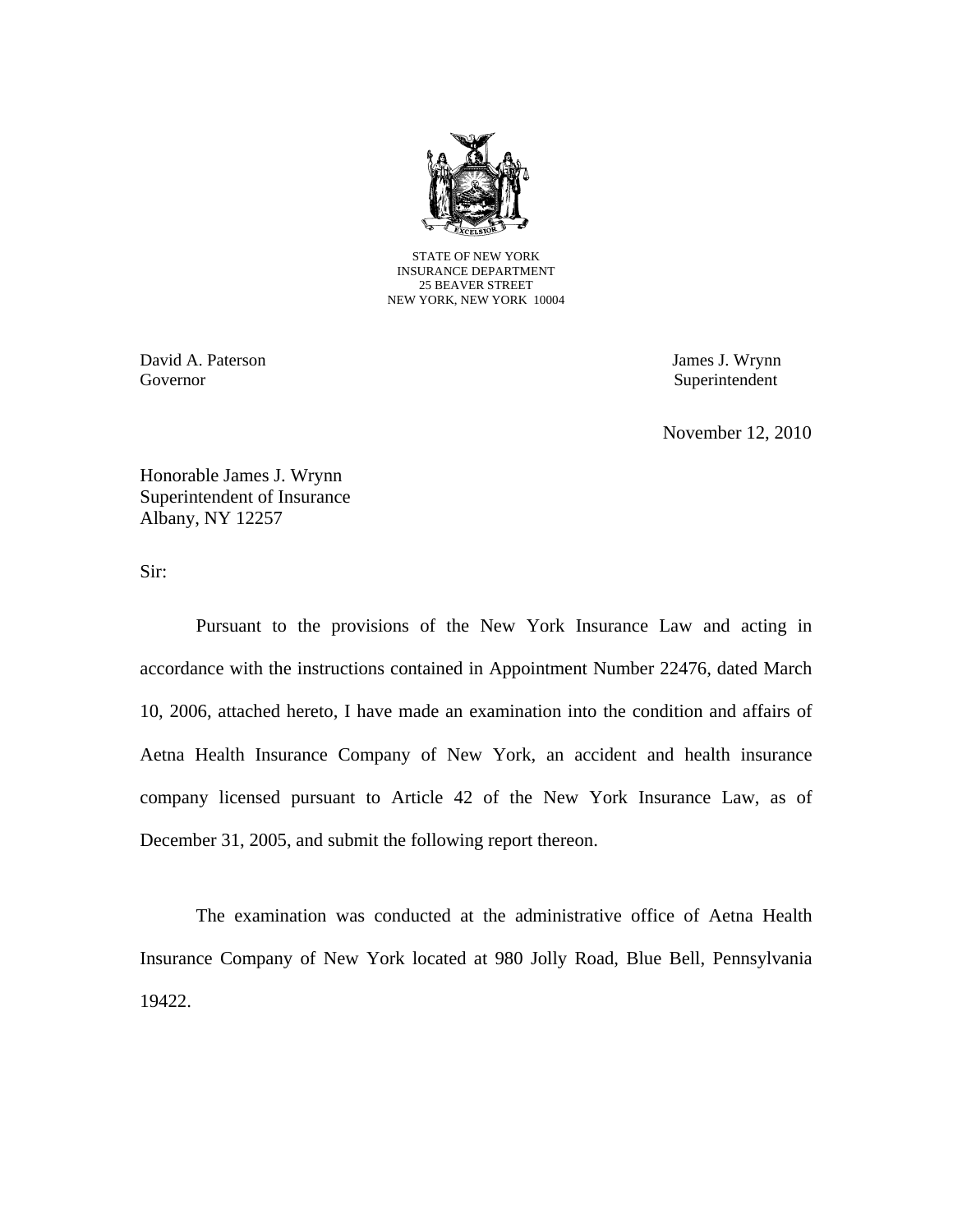

STATE OF NEW YORK INSURANCE DEPARTMENT 25 BEAVER STREET NEW YORK, NEW YORK 10004

David A. Paterson James J. Wrynn Governor Superintendent

November 12, 2010

Honorable James J. Wrynn Superintendent of Insurance Albany, NY 12257

Sir:

Pursuant to the provisions of the New York Insurance Law and acting in accordance with the instructions contained in Appointment Number 22476, dated March 10, 2006, attached hereto, I have made an examination into the condition and affairs of Aetna Health Insurance Company of New York, an accident and health insurance company licensed pursuant to Article 42 of the New York Insurance Law, as of December 31, 2005, and submit the following report thereon.

The examination was conducted at the administrative office of Aetna Health Insurance Company of New York located at 980 Jolly Road, Blue Bell, Pennsylvania 19422.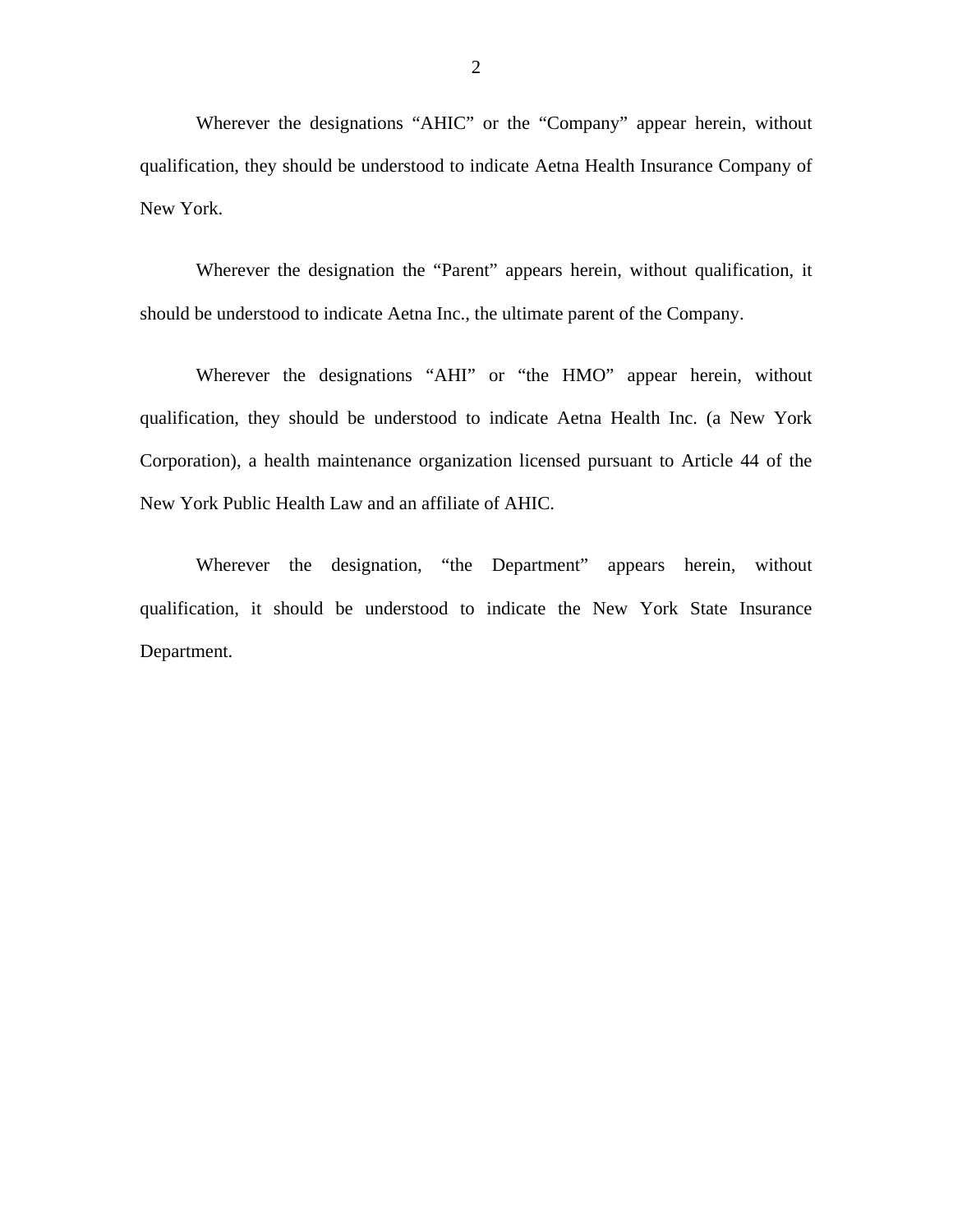Wherever the designations "AHIC" or the "Company" appear herein, without qualification, they should be understood to indicate Aetna Health Insurance Company of New York.

Wherever the designation the "Parent" appears herein, without qualification, it should be understood to indicate Aetna Inc., the ultimate parent of the Company.

Wherever the designations "AHI" or "the HMO" appear herein, without qualification, they should be understood to indicate Aetna Health Inc. (a New York Corporation), a health maintenance organization licensed pursuant to Article 44 of the New York Public Health Law and an affiliate of AHIC.

Wherever the designation, "the Department" appears herein, without qualification, it should be understood to indicate the New York State Insurance Department.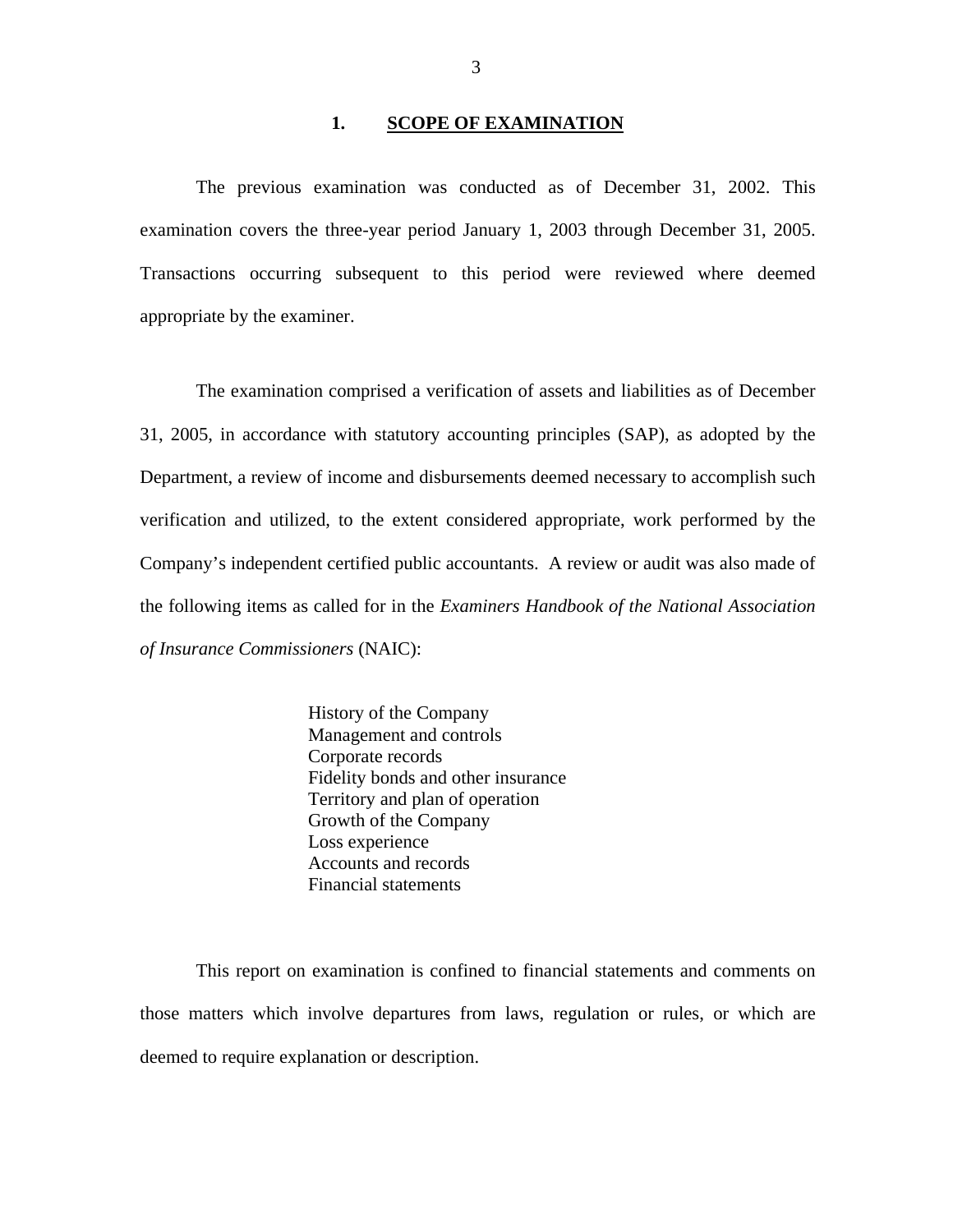#### **1. SCOPE OF EXAMINATION**

The previous examination was conducted as of December 31, 2002. This examination covers the three-year period January 1, 2003 through December 31, 2005. Transactions occurring subsequent to this period were reviewed where deemed appropriate by the examiner.

The examination comprised a verification of assets and liabilities as of December 31, 2005, in accordance with statutory accounting principles (SAP), as adopted by the Department, a review of income and disbursements deemed necessary to accomplish such verification and utilized, to the extent considered appropriate, work performed by the Company's independent certified public accountants. A review or audit was also made of the following items as called for in the *Examiners Handbook of the National Association of Insurance Commissioners* (NAIC):

> History of the Company Management and controls Corporate records Fidelity bonds and other insurance Territory and plan of operation Growth of the Company Loss experience Accounts and records Financial statements

This report on examination is confined to financial statements and comments on those matters which involve departures from laws, regulation or rules, or which are deemed to require explanation or description.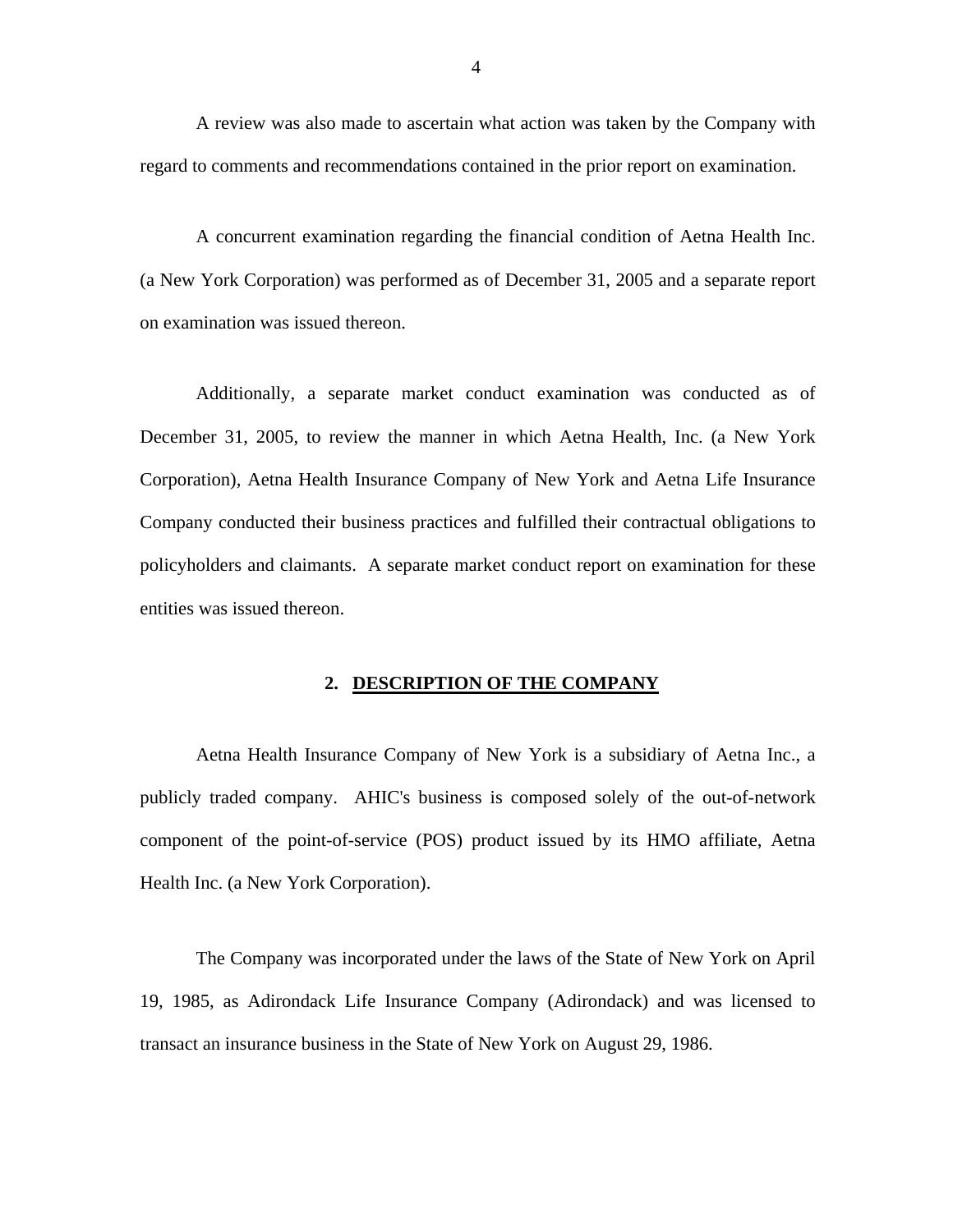A review was also made to ascertain what action was taken by the Company with regard to comments and recommendations contained in the prior report on examination.

A concurrent examination regarding the financial condition of Aetna Health Inc. (a New York Corporation) was performed as of December 31, 2005 and a separate report on examination was issued thereon.

Additionally, a separate market conduct examination was conducted as of December 31, 2005, to review the manner in which Aetna Health, Inc. (a New York Corporation), Aetna Health Insurance Company of New York and Aetna Life Insurance Company conducted their business practices and fulfilled their contractual obligations to policyholders and claimants. A separate market conduct report on examination for these entities was issued thereon.

#### **2. DESCRIPTION OF THE COMPANY**

Aetna Health Insurance Company of New York is a subsidiary of Aetna Inc., a publicly traded company. AHIC's business is composed solely of the out-of-network component of the point-of-service (POS) product issued by its HMO affiliate, Aetna Health Inc. (a New York Corporation).

The Company was incorporated under the laws of the State of New York on April 19, 1985, as Adirondack Life Insurance Company (Adirondack) and was licensed to transact an insurance business in the State of New York on August 29, 1986.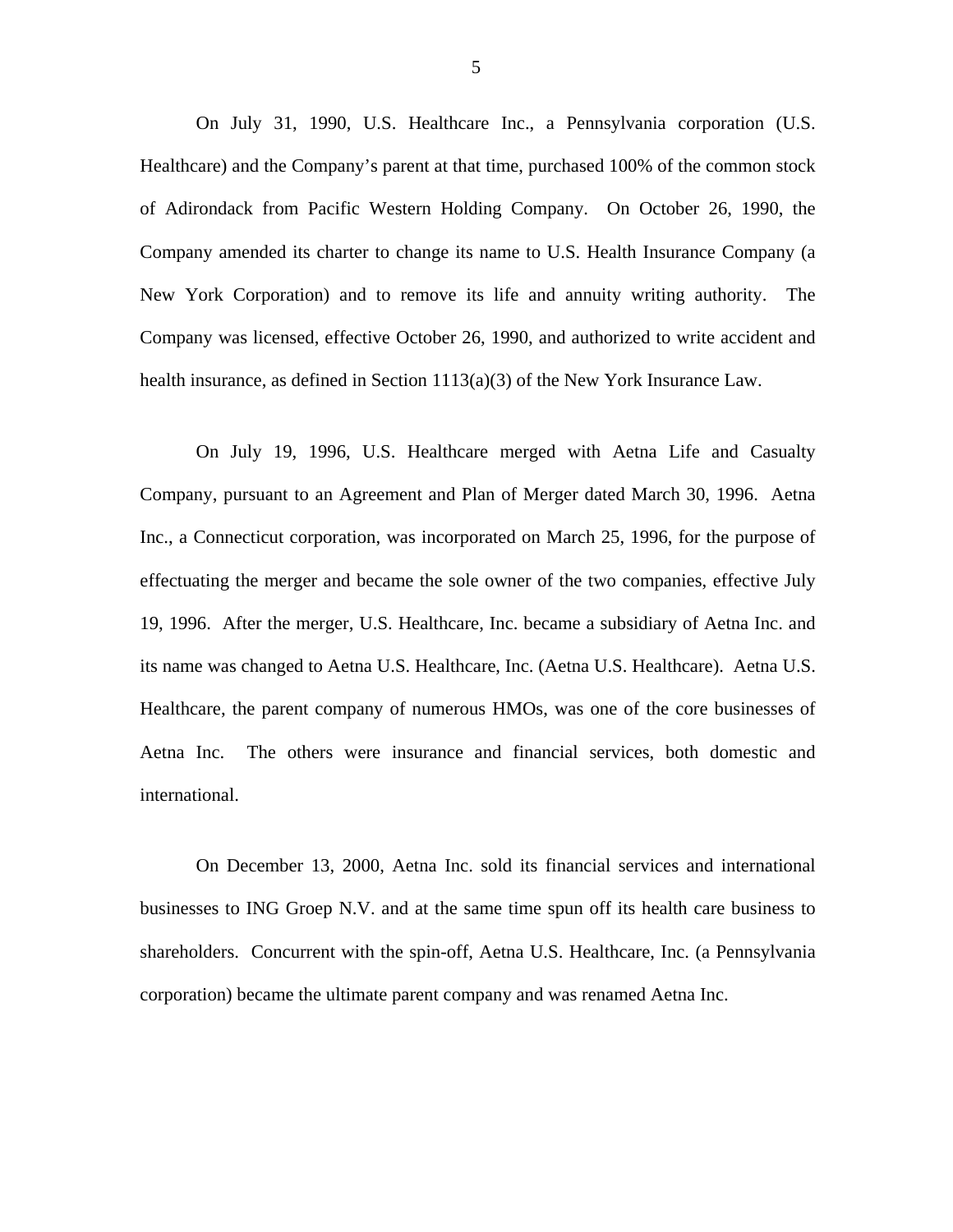On July 31, 1990, U.S. Healthcare Inc., a Pennsylvania corporation (U.S. Healthcare) and the Company's parent at that time, purchased 100% of the common stock of Adirondack from Pacific Western Holding Company. On October 26, 1990, the Company amended its charter to change its name to U.S. Health Insurance Company (a New York Corporation) and to remove its life and annuity writing authority. The Company was licensed, effective October 26, 1990, and authorized to write accident and health insurance, as defined in Section 1113(a)(3) of the New York Insurance Law.

On July 19, 1996, U.S. Healthcare merged with Aetna Life and Casualty Company, pursuant to an Agreement and Plan of Merger dated March 30, 1996. Aetna Inc., a Connecticut corporation, was incorporated on March 25, 1996, for the purpose of effectuating the merger and became the sole owner of the two companies, effective July 19, 1996. After the merger, U.S. Healthcare, Inc. became a subsidiary of Aetna Inc. and its name was changed to Aetna U.S. Healthcare, Inc. (Aetna U.S. Healthcare). Aetna U.S. Healthcare, the parent company of numerous HMOs, was one of the core businesses of Aetna Inc. The others were insurance and financial services, both domestic and international.

On December 13, 2000, Aetna Inc. sold its financial services and international businesses to ING Groep N.V. and at the same time spun off its health care business to shareholders. Concurrent with the spin-off, Aetna U.S. Healthcare, Inc. (a Pennsylvania corporation) became the ultimate parent company and was renamed Aetna Inc.

5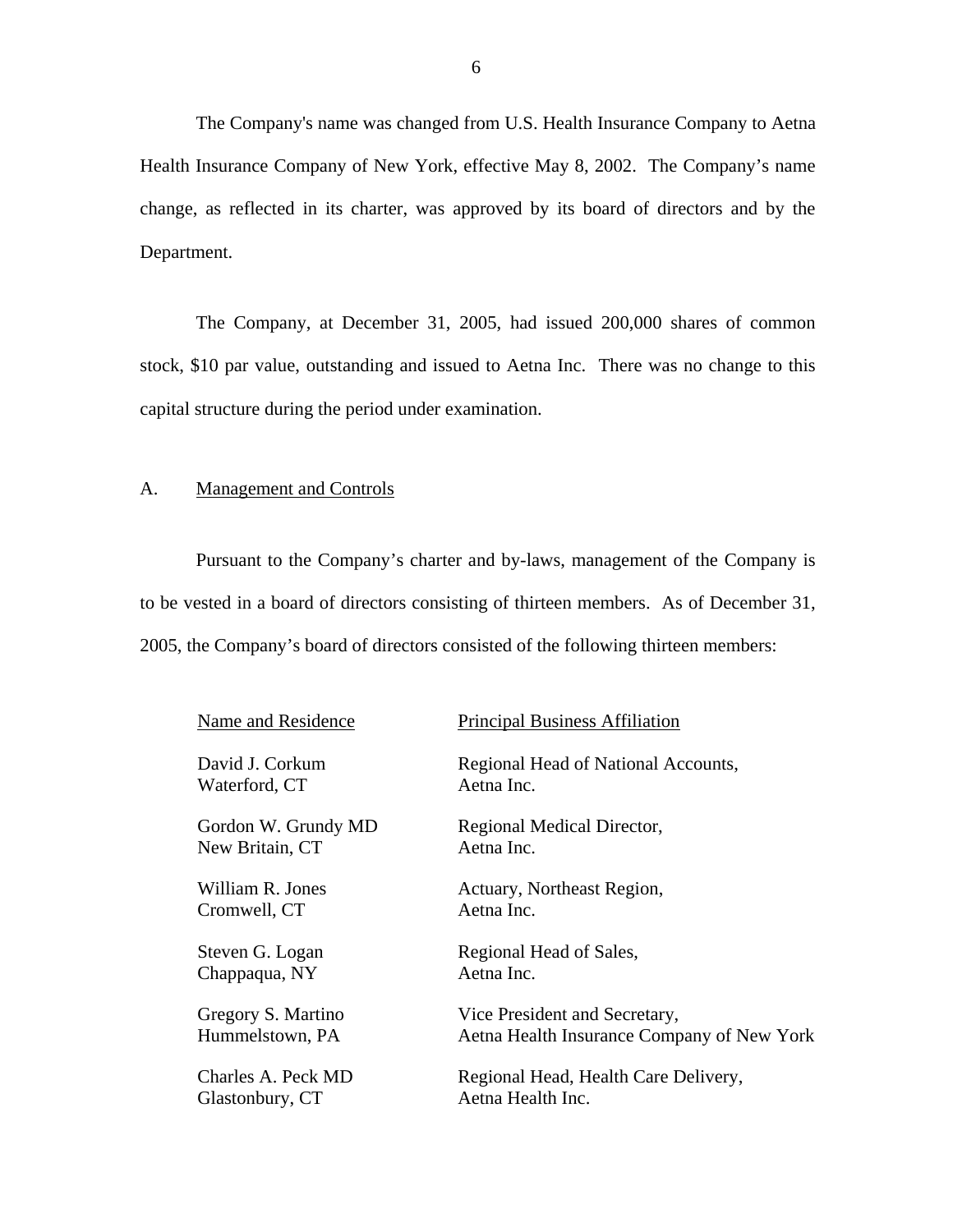<span id="page-7-0"></span>The Company's name was changed from U.S. Health Insurance Company to Aetna Health Insurance Company of New York, effective May 8, 2002. The Company's name change, as reflected in its charter, was approved by its board of directors and by the Department.

The Company, at December 31, 2005, had issued 200,000 shares of common stock, \$10 par value, outstanding and issued to Aetna Inc. There was no change to this capital structure during the period under examination.

#### A. Management and Controls

Pursuant to the Company's charter and by-laws, management of the Company is to be vested in a board of directors consisting of thirteen members. As of December 31, 2005, the Company's board of directors consisted of the following thirteen members:

| Name and Residence  | <b>Principal Business Affiliation</b>      |
|---------------------|--------------------------------------------|
| David J. Corkum     | Regional Head of National Accounts,        |
| Waterford, CT       | Aetna Inc.                                 |
| Gordon W. Grundy MD | Regional Medical Director,                 |
| New Britain, CT     | Aetna Inc.                                 |
| William R. Jones    | Actuary, Northeast Region,                 |
| Cromwell, CT        | Aetna Inc.                                 |
| Steven G. Logan     | Regional Head of Sales,                    |
| Chappaqua, NY       | Aetna Inc.                                 |
| Gregory S. Martino  | Vice President and Secretary,              |
| Hummelstown, PA     | Aetna Health Insurance Company of New York |
| Charles A. Peck MD  | Regional Head, Health Care Delivery,       |
| Glastonbury, CT     | Aetna Health Inc.                          |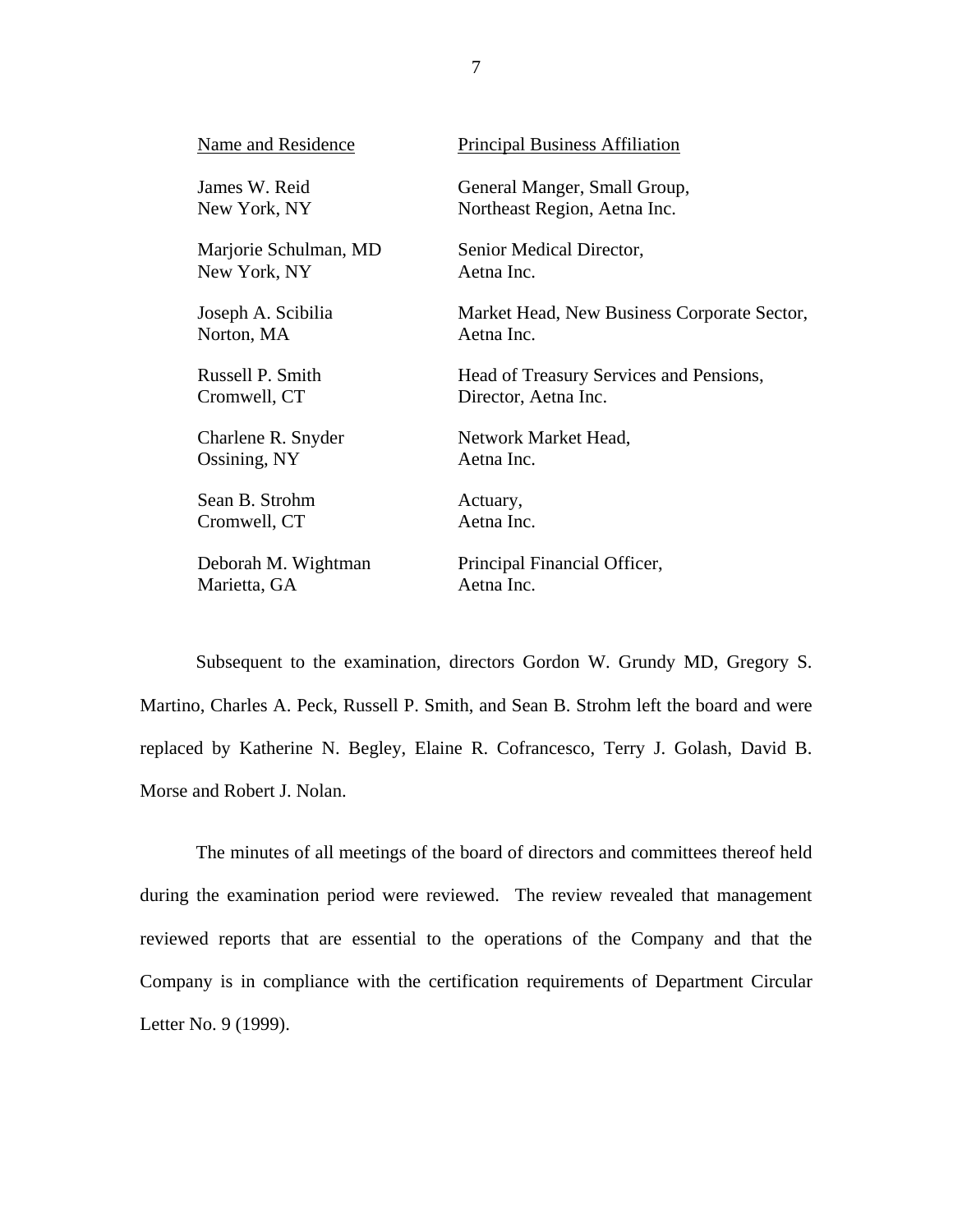| Name and Residence    | <b>Principal Business Affiliation</b>       |
|-----------------------|---------------------------------------------|
| James W. Reid         | General Manger, Small Group,                |
| New York, NY          | Northeast Region, Aetna Inc.                |
| Marjorie Schulman, MD | Senior Medical Director,                    |
| New York, NY          | Aetna Inc.                                  |
| Joseph A. Scibilia    | Market Head, New Business Corporate Sector, |
| Norton, MA            | Aetna Inc.                                  |
| Russell P. Smith      | Head of Treasury Services and Pensions,     |
| Cromwell, CT          | Director, Aetna Inc.                        |
| Charlene R. Snyder    | Network Market Head,                        |
| Ossining, NY          | Aetna Inc.                                  |
| Sean B. Strohm        | Actuary,                                    |
| Cromwell, CT          | Aetna Inc.                                  |
| Deborah M. Wightman   | Principal Financial Officer,                |
| Marietta, GA          | Aetna Inc.                                  |

Subsequent to the examination, directors Gordon W. Grundy MD, Gregory S. Martino, Charles A. Peck, Russell P. Smith, and Sean B. Strohm left the board and were replaced by Katherine N. Begley, Elaine R. Cofrancesco, Terry J. Golash, David B. Morse and Robert J. Nolan.

The minutes of all meetings of the board of directors and committees thereof held during the examination period were reviewed. The review revealed that management reviewed reports that are essential to the operations of the Company and that the Company is in compliance with the certification requirements of Department Circular Letter No. 9 (1999).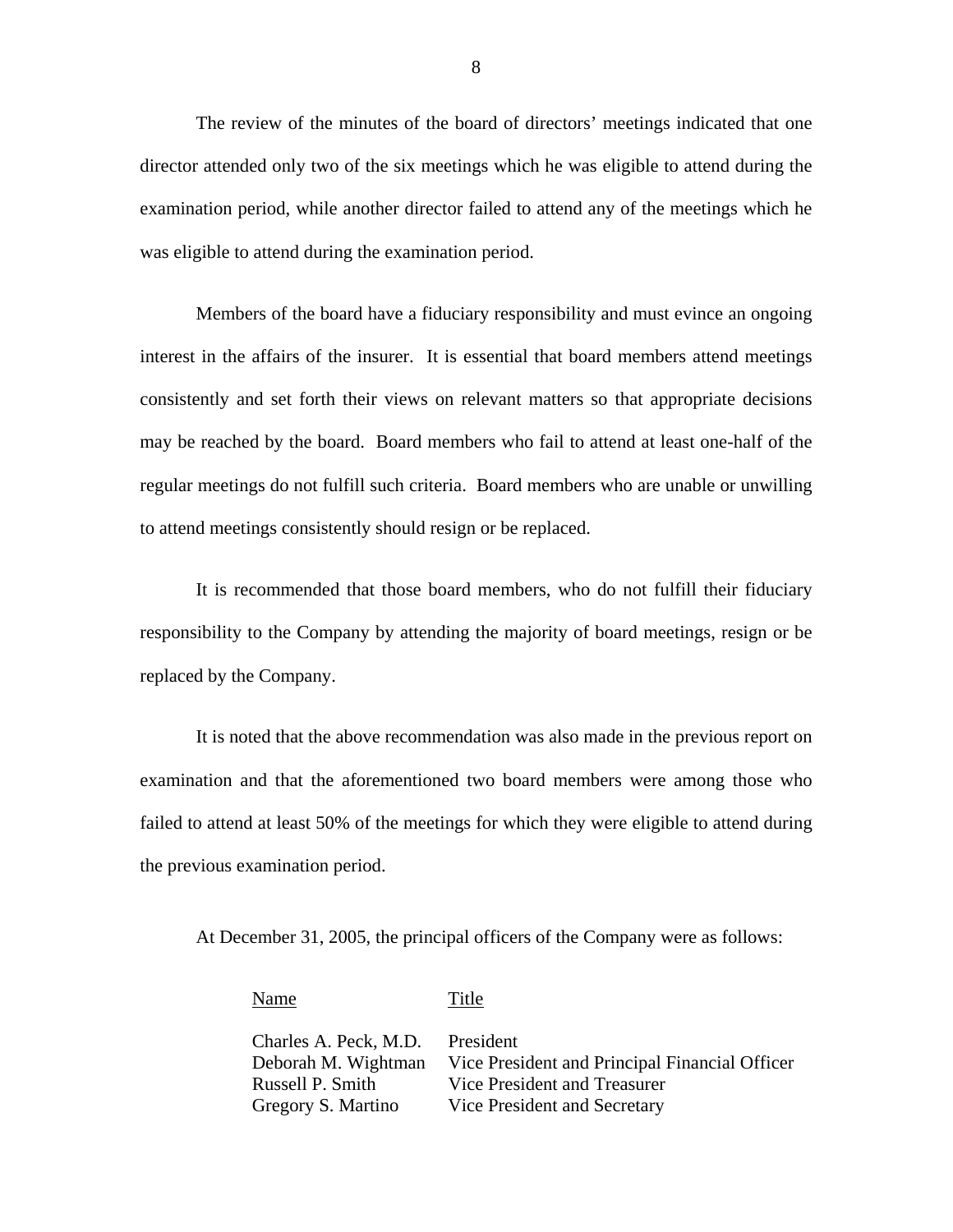The review of the minutes of the board of directors' meetings indicated that one director attended only two of the six meetings which he was eligible to attend during the examination period, while another director failed to attend any of the meetings which he was eligible to attend during the examination period.

Members of the board have a fiduciary responsibility and must evince an ongoing interest in the affairs of the insurer. It is essential that board members attend meetings consistently and set forth their views on relevant matters so that appropriate decisions may be reached by the board. Board members who fail to attend at least one-half of the regular meetings do not fulfill such criteria. Board members who are unable or unwilling to attend meetings consistently should resign or be replaced.

It is recommended that those board members, who do not fulfill their fiduciary responsibility to the Company by attending the majority of board meetings, resign or be replaced by the Company.

It is noted that the above recommendation was also made in the previous report on examination and that the aforementioned two board members were among those who failed to attend at least 50% of the meetings for which they were eligible to attend during the previous examination period.

At December 31, 2005, the principal officers of the Company were as follows:

#### Name Title

Charles A. Peck, M.D. President Deborah M. Wightman Vice President and Principal Financial Officer Russell P. Smith Vice President and Treasurer Gregory S. Martino Vice President and Secretary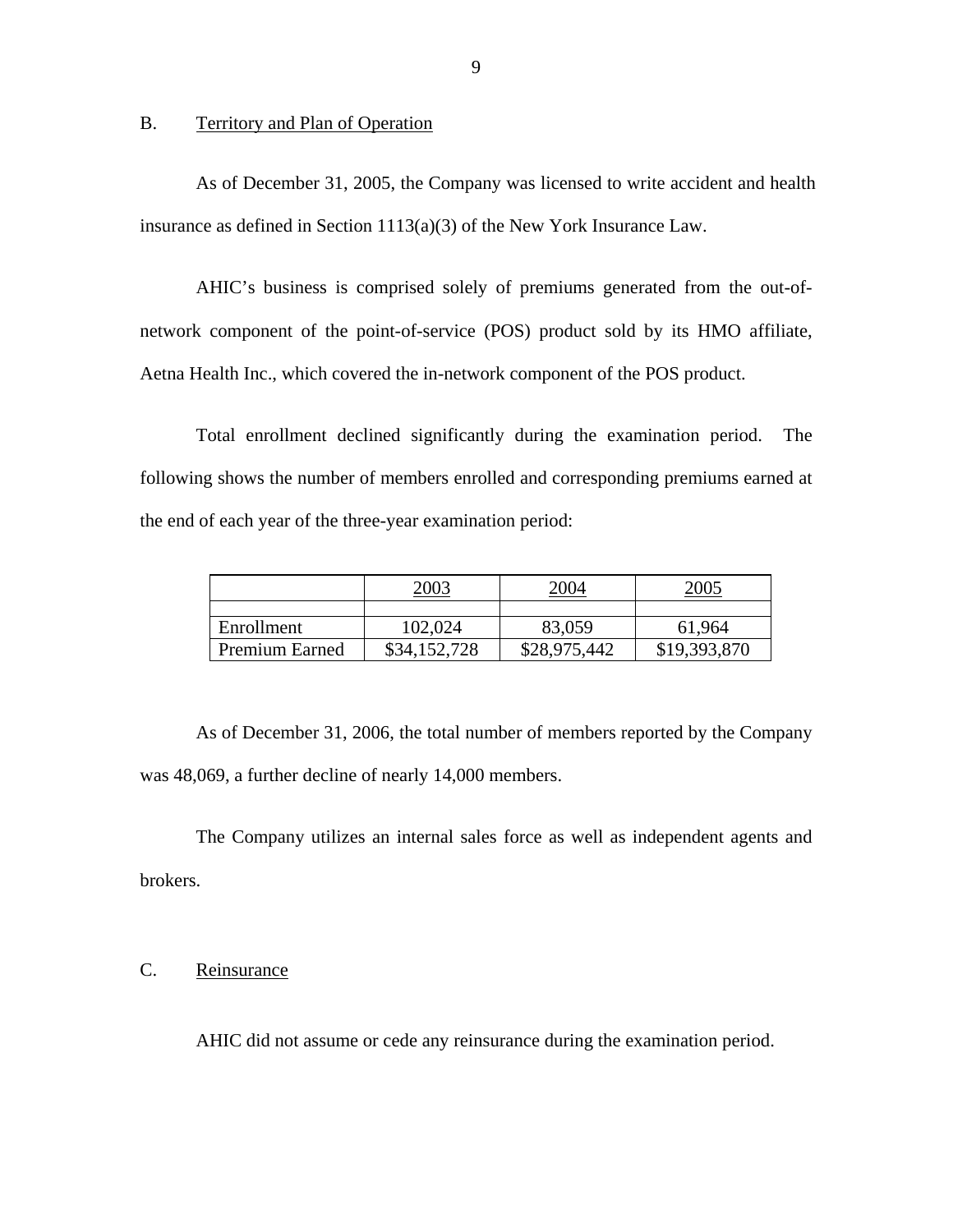#### B. Territory and Plan of Operation

As of December 31, 2005, the Company was licensed to write accident and health insurance as defined in Section 1113(a)(3) of the New York Insurance Law.

AHIC's business is comprised solely of premiums generated from the out-ofnetwork component of the point-of-service (POS) product sold by its HMO affiliate, Aetna Health Inc., which covered the in-network component of the POS product.

Total enrollment declined significantly during the examination period. The following shows the number of members enrolled and corresponding premiums earned at the end of each year of the three-year examination period:

|                       | 2003         | <u>2004</u>  | 2005         |
|-----------------------|--------------|--------------|--------------|
|                       |              |              |              |
| Enrollment            | 102,024      | 83,059       | 61,964       |
| <b>Premium Earned</b> | \$34,152,728 | \$28,975,442 | \$19,393,870 |

As of December 31, 2006, the total number of members reported by the Company was 48,069, a further decline of nearly 14,000 members.

The Company utilizes an internal sales force as well as independent agents and brokers.

## C. Reinsurance

AHIC did not assume or cede any reinsurance during the examination period.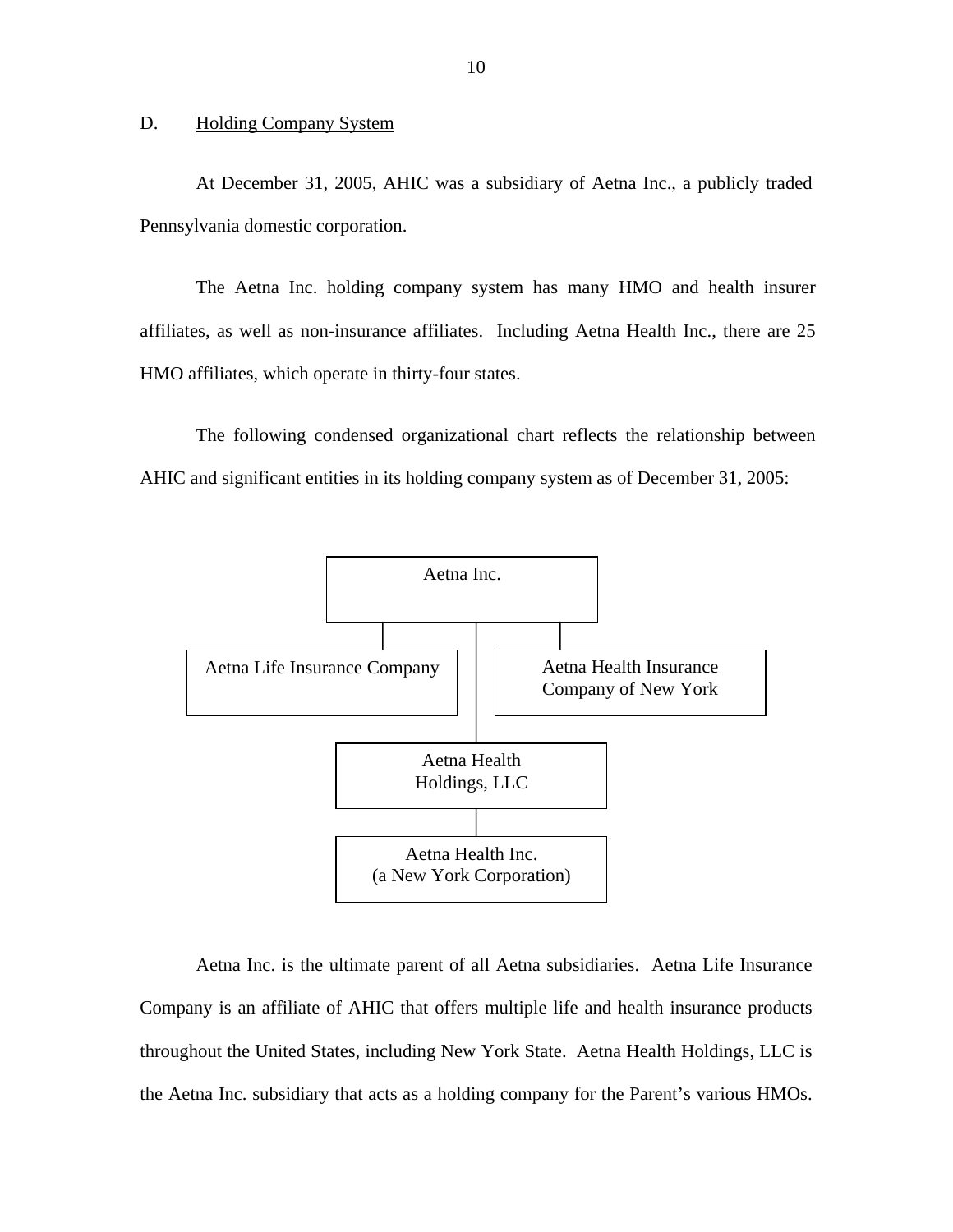#### **Holding Company System**

<span id="page-11-0"></span>D. Holding Company System<br>At December 31, 2005, AHIC was a subsidiary of Aetna Inc., a publicly traded Pennsylvania domestic corporation.

The Aetna Inc. holding company system has many HMO and health insurer affiliates, as well as non-insurance affiliates. Including Aetna Health Inc., there are 25 HMO affiliates, which operate in thirty-four states.

The following condensed organizational chart reflects the relationship between AHIC and significant entities in its holding company system as of December 31, 2005:



Aetna Inc. is the ultimate parent of all Aetna subsidiaries. Aetna Life Insurance Company is an affiliate of AHIC that offers multiple life and health insurance products throughout the United States, including New York State. Aetna Health Holdings, LLC is the Aetna Inc. subsidiary that acts as a holding company for the Parent's various HMOs.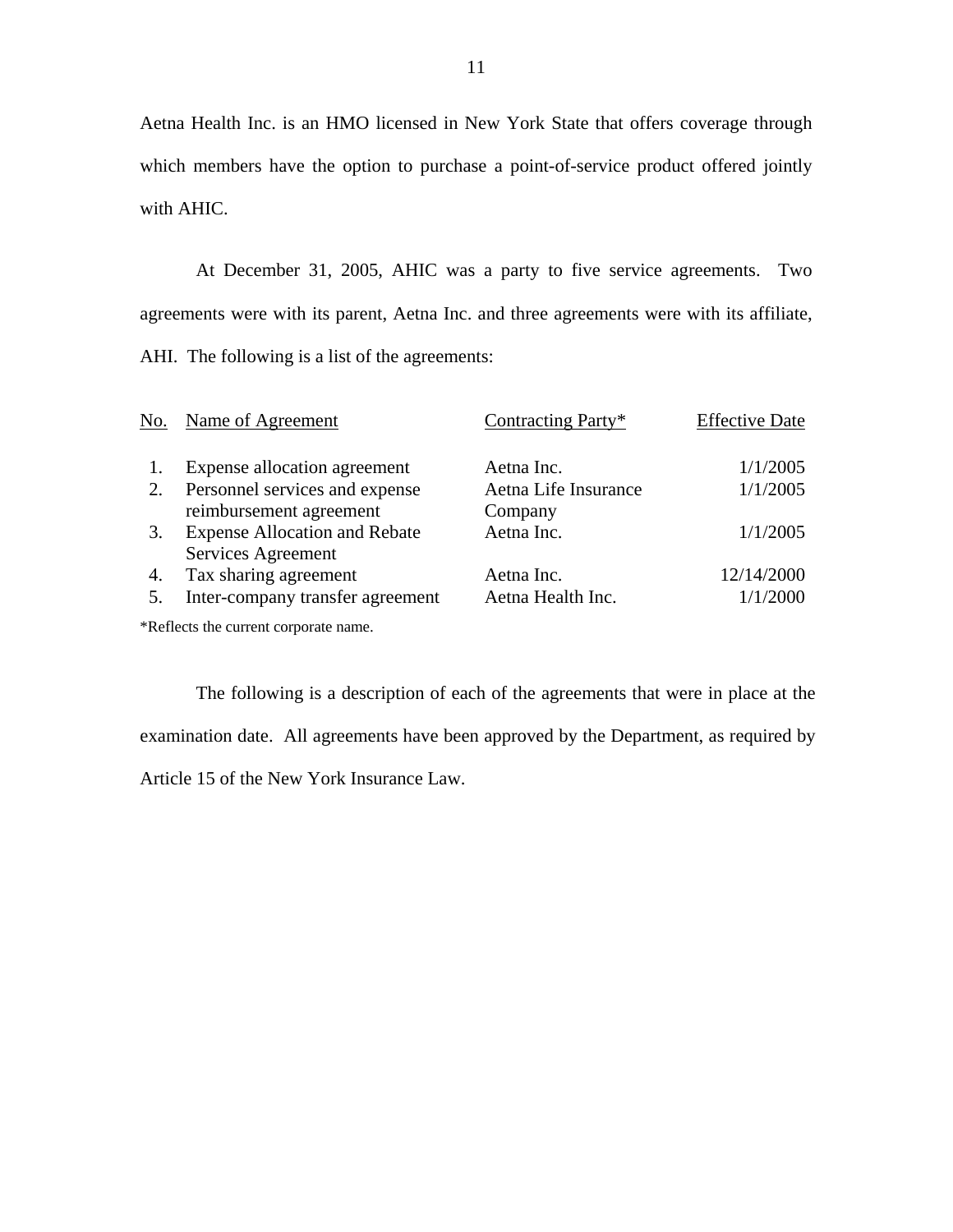Aetna Health Inc. is an HMO licensed in New York State that offers coverage through which members have the option to purchase a point-of-service product offered jointly with AHIC.

At December 31, 2005, AHIC was a party to five service agreements. Two agreements were with its parent, Aetna Inc. and three agreements were with its affiliate, AHI. The following is a list of the agreements:

| No. | Name of Agreement                     | Contracting Party*   | <b>Effective Date</b> |
|-----|---------------------------------------|----------------------|-----------------------|
|     | Expense allocation agreement          | Aetna Inc.           | 1/1/2005              |
| 2.  | Personnel services and expense        | Aetna Life Insurance | 1/1/2005              |
|     | reimbursement agreement               | Company              |                       |
| 3.  | <b>Expense Allocation and Rebate</b>  | Aetna Inc.           | 1/1/2005              |
|     | Services Agreement                    |                      |                       |
| 4.  | Tax sharing agreement                 | Aetna Inc.           | 12/14/2000            |
| 5.  | Inter-company transfer agreement      | Aetna Health Inc.    | 1/1/2000              |
|     | *Reflects the current corporate name. |                      |                       |

The following is a description of each of the agreements that were in place at the examination date. All agreements have been approved by the Department, as required by Article 15 of the New York Insurance Law.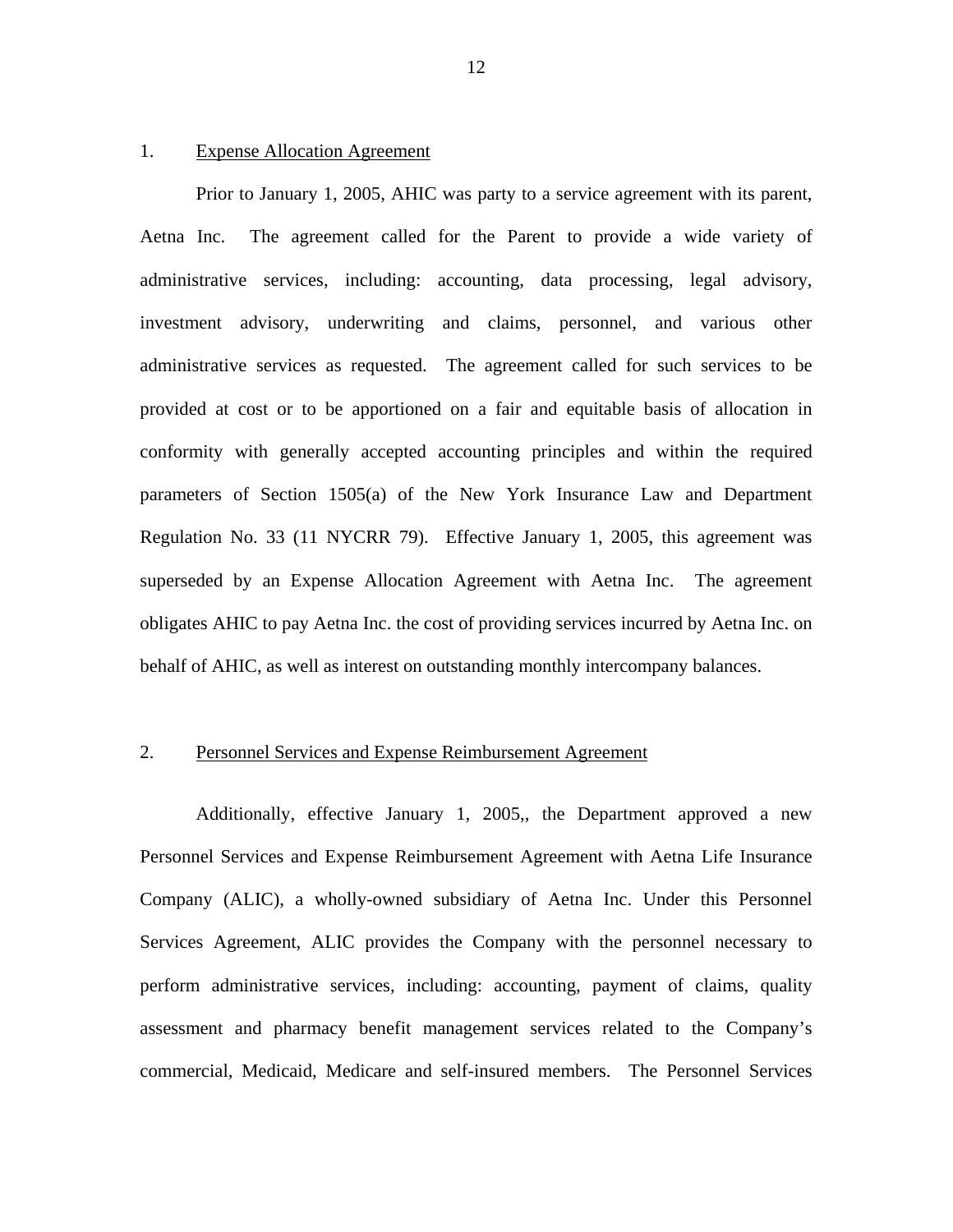#### 1. Expense Allocation Agreement

Prior to January 1, 2005, AHIC was party to a service agreement with its parent, Aetna Inc. The agreement called for the Parent to provide a wide variety of administrative services, including: accounting, data processing, legal advisory, investment advisory, underwriting and claims, personnel, and various other administrative services as requested. The agreement called for such services to be provided at cost or to be apportioned on a fair and equitable basis of allocation in conformity with generally accepted accounting principles and within the required parameters of Section 1505(a) of the New York Insurance Law and Department Regulation No. 33 (11 NYCRR 79). Effective January 1, 2005, this agreement was superseded by an Expense Allocation Agreement with Aetna Inc. The agreement obligates AHIC to pay Aetna Inc. the cost of providing services incurred by Aetna Inc. on behalf of AHIC, as well as interest on outstanding monthly intercompany balances.

#### 2. Personnel Services and Expense Reimbursement Agreement

Additionally, effective January 1, 2005,, the Department approved a new Personnel Services and Expense Reimbursement Agreement with Aetna Life Insurance Company (ALIC), a wholly-owned subsidiary of Aetna Inc. Under this Personnel Services Agreement, ALIC provides the Company with the personnel necessary to perform administrative services, including: accounting, payment of claims, quality assessment and pharmacy benefit management services related to the Company's commercial, Medicaid, Medicare and self-insured members. The Personnel Services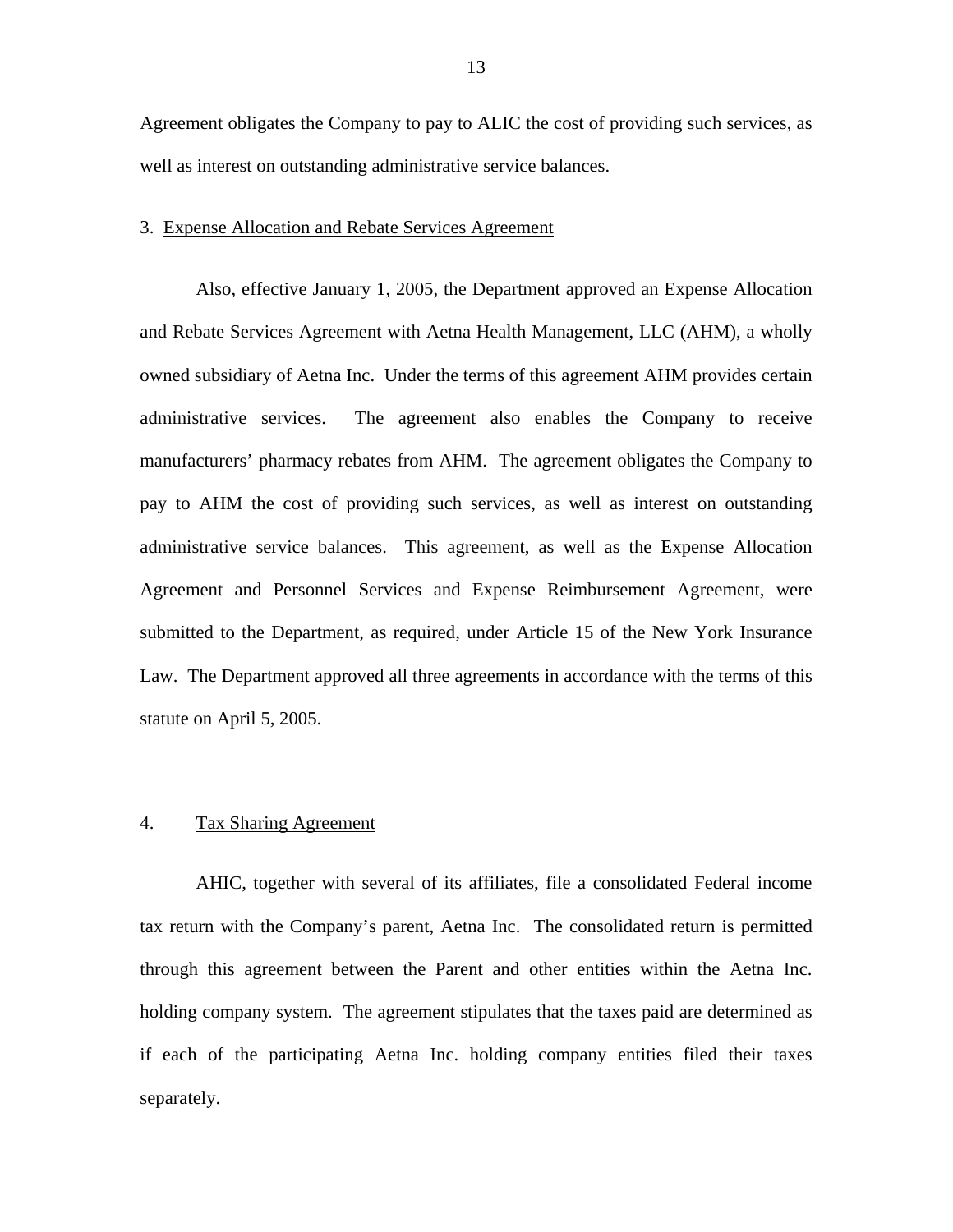Agreement obligates the Company to pay to ALIC the cost of providing such services, as well as interest on outstanding administrative service balances.

#### 3. Expense Allocation and Rebate Services Agreement

Also, effective January 1, 2005, the Department approved an Expense Allocation and Rebate Services Agreement with Aetna Health Management, LLC (AHM), a wholly owned subsidiary of Aetna Inc. Under the terms of this agreement AHM provides certain administrative services. The agreement also enables the Company to receive manufacturers' pharmacy rebates from AHM. The agreement obligates the Company to pay to AHM the cost of providing such services, as well as interest on outstanding administrative service balances. This agreement, as well as the Expense Allocation Agreement and Personnel Services and Expense Reimbursement Agreement, were submitted to the Department, as required, under Article 15 of the New York Insurance Law. The Department approved all three agreements in accordance with the terms of this statute on April 5, 2005.

#### 4. Tax Sharing Agreement

AHIC, together with several of its affiliates, file a consolidated Federal income tax return with the Company's parent, Aetna Inc. The consolidated return is permitted through this agreement between the Parent and other entities within the Aetna Inc. holding company system. The agreement stipulates that the taxes paid are determined as if each of the participating Aetna Inc. holding company entities filed their taxes separately.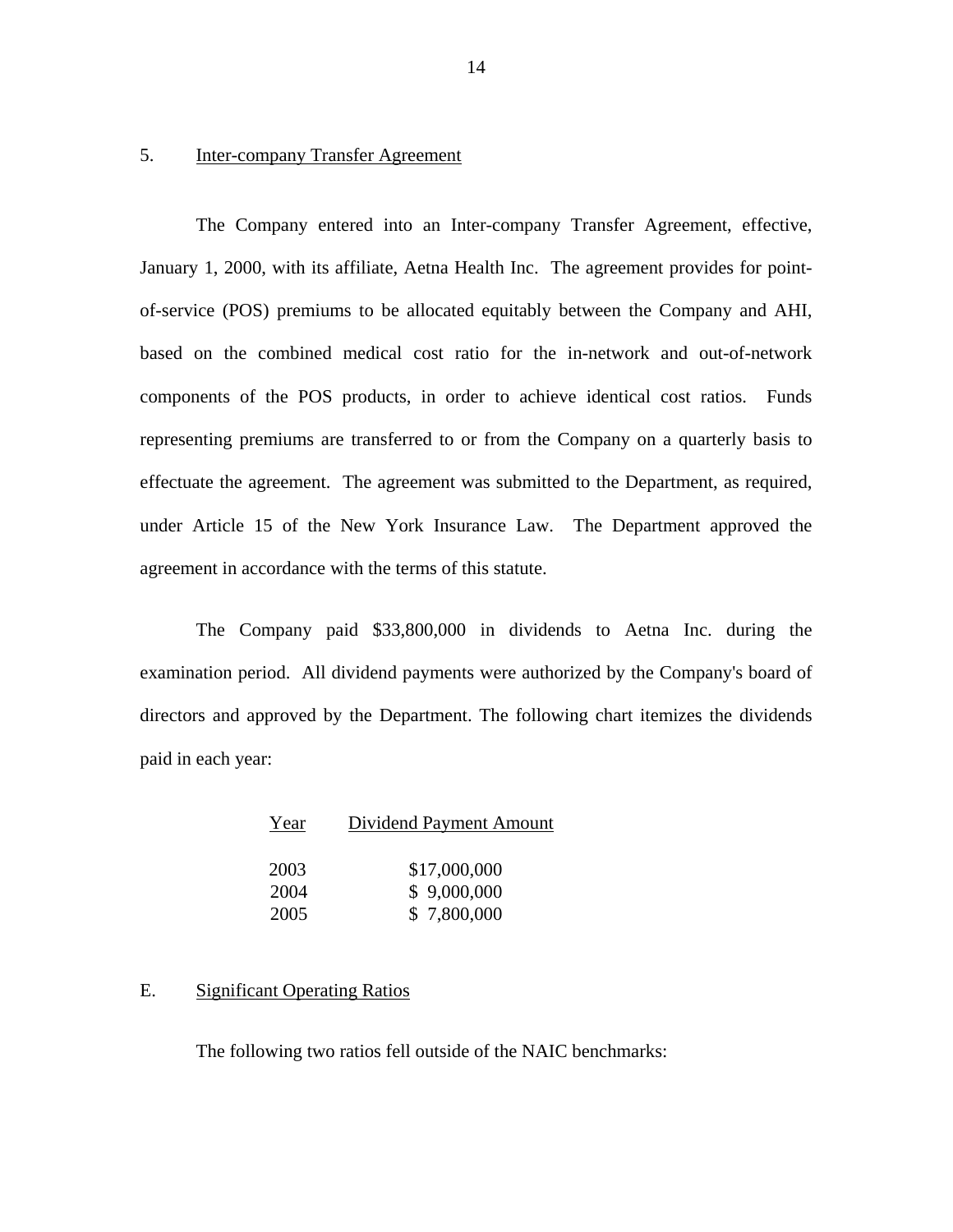#### 5. Inter-company Transfer Agreement

The Company entered into an Inter-company Transfer Agreement, effective, January 1, 2000, with its affiliate, Aetna Health Inc. The agreement provides for pointof-service (POS) premiums to be allocated equitably between the Company and AHI, based on the combined medical cost ratio for the in-network and out-of-network components of the POS products, in order to achieve identical cost ratios. Funds representing premiums are transferred to or from the Company on a quarterly basis to effectuate the agreement. The agreement was submitted to the Department, as required, under Article 15 of the New York Insurance Law. The Department approved the agreement in accordance with the terms of this statute.

The Company paid \$33,800,000 in dividends to Aetna Inc. during the examination period. All dividend payments were authorized by the Company's board of directors and approved by the Department. The following chart itemizes the dividends paid in each year:

| Year | Dividend Payment Amount |
|------|-------------------------|
|      |                         |
| 2003 | \$17,000,000            |
| 2004 | \$9,000,000             |
| 2005 | \$7,800,000             |

#### E. Significant Operating Ratios

The following two ratios fell outside of the NAIC benchmarks: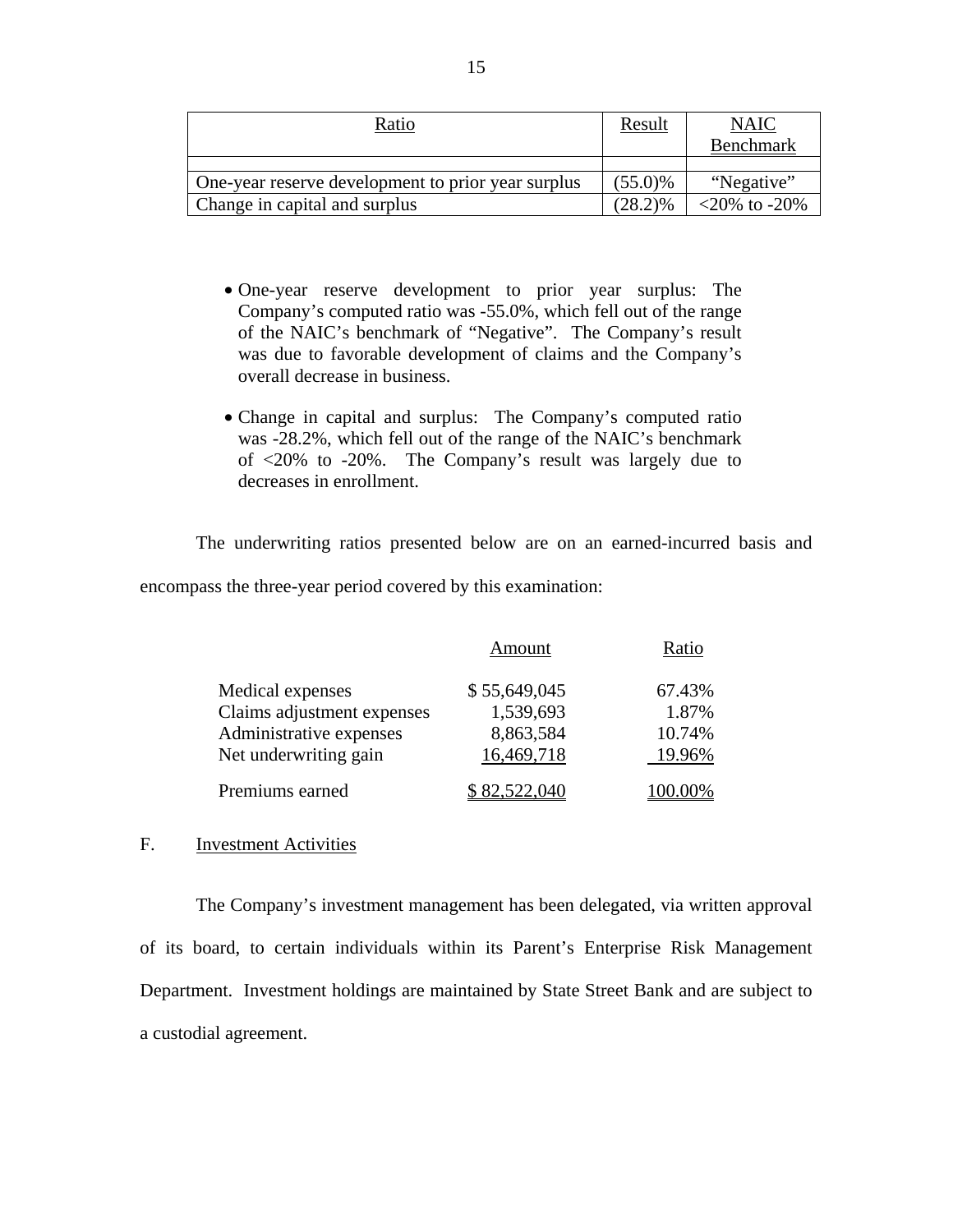| Ratio                                              | Result     | <b>NAIC</b>        |
|----------------------------------------------------|------------|--------------------|
|                                                    |            | <b>Benchmark</b>   |
|                                                    |            |                    |
| One-year reserve development to prior year surplus | $(55.0)\%$ | "Negative"         |
| Change in capital and surplus                      | $(28.2)\%$ | $<20\%$ to $-20\%$ |

- One-year reserve development to prior year surplus: The Company's computed ratio was -55.0%, which fell out of the range of the NAIC's benchmark of "Negative". The Company's result was due to favorable development of claims and the Company's overall decrease in business.
- Change in capital and surplus: The Company's computed ratio was -28.2%, which fell out of the range of the NAIC's benchmark of <20% to -20%. The Company's result was largely due to decreases in enrollment.

The underwriting ratios presented below are on an earned-incurred basis and encompass the three-year period covered by this examination:

|                            | Amount       | Ratio  |
|----------------------------|--------------|--------|
| Medical expenses           | \$55,649,045 | 67.43% |
| Claims adjustment expenses | 1,539,693    | 1.87%  |
| Administrative expenses    | 8,863,584    | 10.74% |
| Net underwriting gain      | 16,469,718   | 19.96% |
| Premiums earned            | 82,522,040   |        |

#### F. Investment Activities

The Company's investment management has been delegated, via written approval of its board, to certain individuals within its Parent's Enterprise Risk Management Department. Investment holdings are maintained by State Street Bank and are subject to a custodial agreement.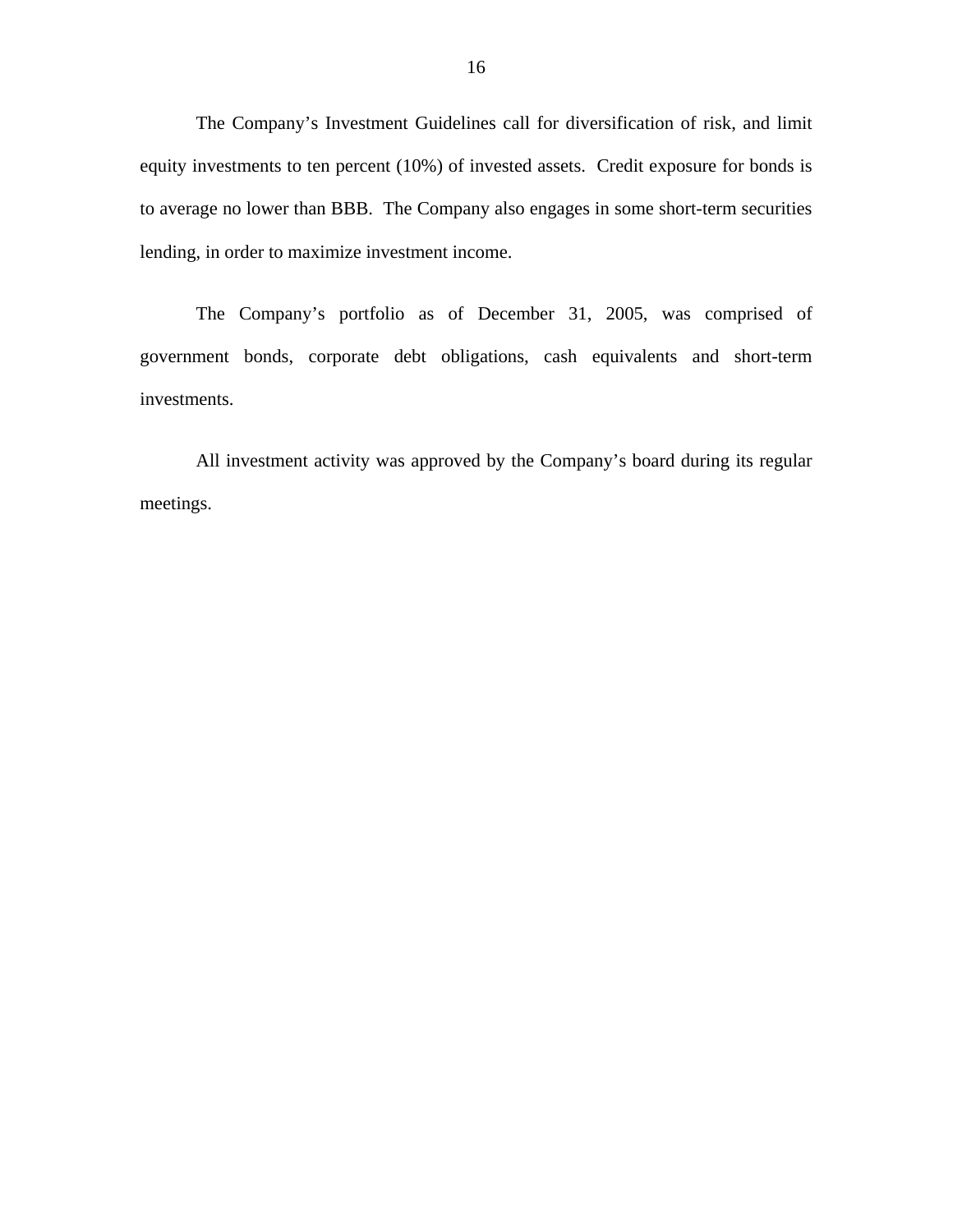The Company's Investment Guidelines call for diversification of risk, and limit equity investments to ten percent (10%) of invested assets. Credit exposure for bonds is to average no lower than BBB. The Company also engages in some short-term securities lending, in order to maximize investment income.

The Company's portfolio as of December 31, 2005, was comprised of government bonds, corporate debt obligations, cash equivalents and short-term investments.

All investment activity was approved by the Company's board during its regular meetings.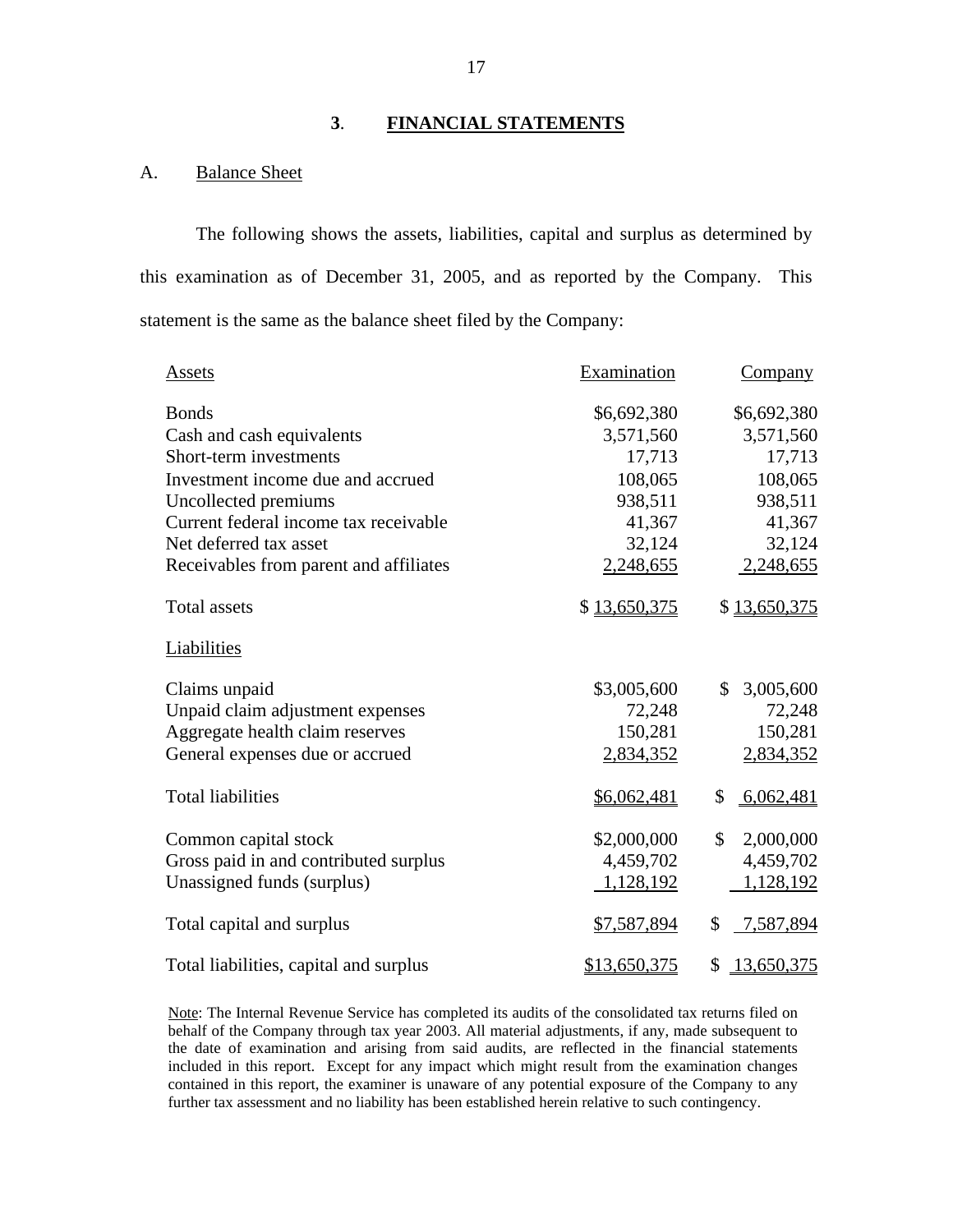#### **3**. **FINANCIAL STATEMENTS**

#### **Balance Sheet**

A. Balance Sheet<br>The following shows the assets, liabilities, capital and surplus as determined by this examination as of December 31, 2005, and as reported by the Company. This statement is the same as the balance sheet filed by the Company:

| Assets                                 | Examination  | <b>Company</b>   |
|----------------------------------------|--------------|------------------|
| <b>Bonds</b>                           | \$6,692,380  | \$6,692,380      |
| Cash and cash equivalents              | 3,571,560    | 3,571,560        |
| Short-term investments                 | 17,713       | 17,713           |
| Investment income due and accrued      | 108,065      | 108,065          |
| Uncollected premiums                   | 938,511      | 938,511          |
| Current federal income tax receivable  | 41,367       | 41,367           |
| Net deferred tax asset                 | 32,124       | 32,124           |
| Receivables from parent and affiliates | 2,248,655    | 2,248,655        |
| <b>Total assets</b>                    | \$13,650,375 | \$13,650,375     |
| Liabilities                            |              |                  |
| Claims unpaid                          | \$3,005,600  | \$<br>3,005,600  |
| Unpaid claim adjustment expenses       | 72,248       | 72,248           |
| Aggregate health claim reserves        | 150,281      | 150,281          |
| General expenses due or accrued        | 2,834,352    | 2,834,352        |
| <b>Total liabilities</b>               | \$6,062,481  | \$<br>6,062,481  |
| Common capital stock                   | \$2,000,000  | \$<br>2,000,000  |
| Gross paid in and contributed surplus  | 4,459,702    | 4,459,702        |
| Unassigned funds (surplus)             | 1,128,192    | 1,128,192        |
| Total capital and surplus              | \$7,587,894  | \$<br>7,587,894  |
| Total liabilities, capital and surplus | \$13,650,375 | \$<br>13,650,375 |

 included in this report. Except for any impact which might result from the examination changes further tax assessment and no liability has been established herein relative to such contingency. Note: The Internal Revenue Service has completed its audits of the consolidated tax returns filed on behalf of the Company through tax year 2003. All material adjustments, if any, made subsequent to the date of examination and arising from said audits, are reflected in the financial statements contained in this report, the examiner is unaware of any potential exposure of the Company to any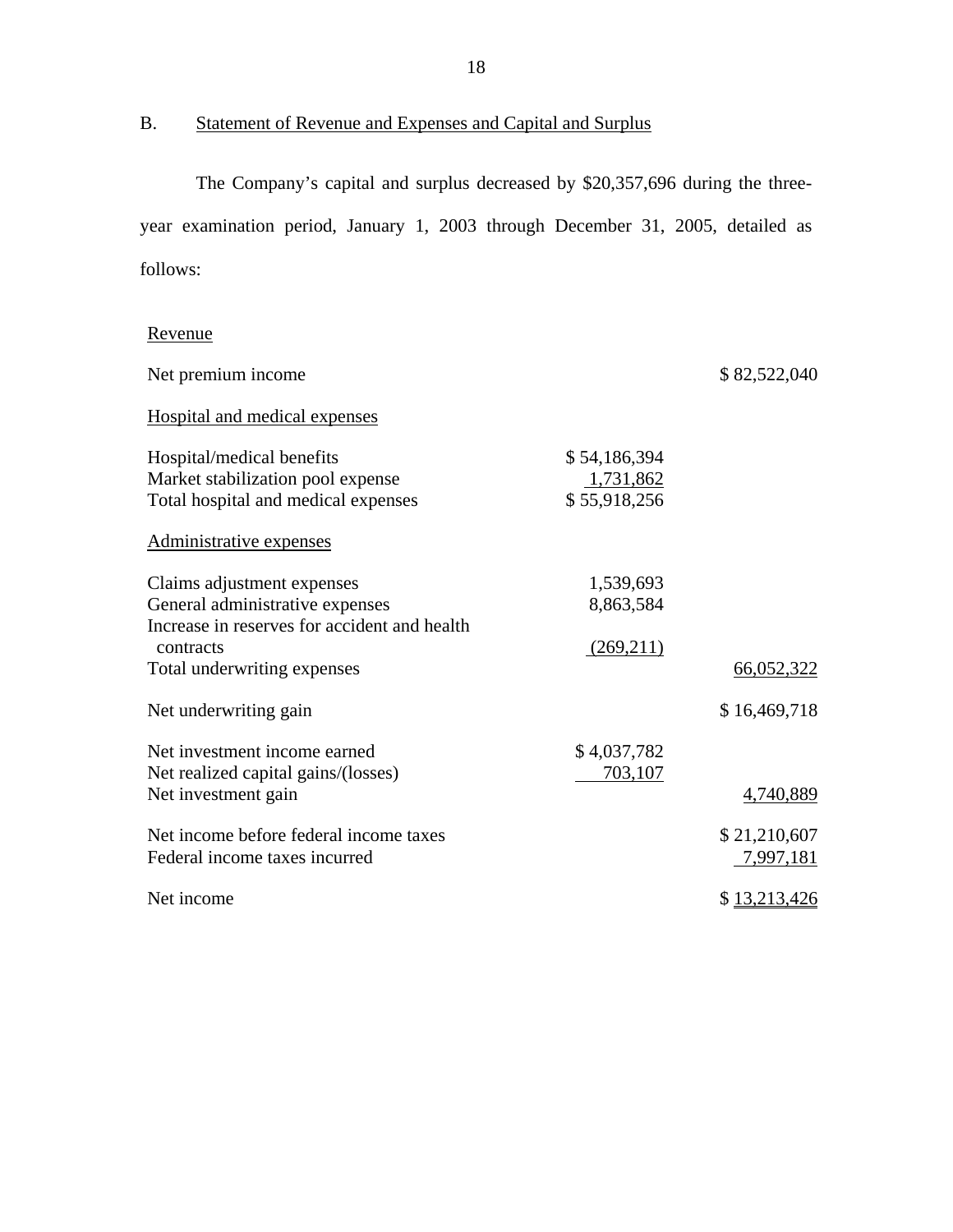# B. Statement of Revenue and Expenses and Capital and Surplus

The Company's capital and surplus decreased by \$20,357,696 during the threeyear examination period, January 1, 2003 through December 31, 2005, detailed as follows:

# Revenue

| Net premium income                           |              | \$82,522,040 |
|----------------------------------------------|--------------|--------------|
| <b>Hospital and medical expenses</b>         |              |              |
| Hospital/medical benefits                    | \$54,186,394 |              |
| Market stabilization pool expense            | 1,731,862    |              |
| Total hospital and medical expenses          | \$55,918,256 |              |
| Administrative expenses                      |              |              |
| Claims adjustment expenses                   | 1,539,693    |              |
| General administrative expenses              | 8,863,584    |              |
| Increase in reserves for accident and health |              |              |
| contracts                                    | (269,211)    |              |
| Total underwriting expenses                  |              | 66,052,322   |
| Net underwriting gain                        |              | \$16,469,718 |
| Net investment income earned                 | \$4,037,782  |              |
| Net realized capital gains/(losses)          | 703,107      |              |
| Net investment gain                          |              | 4,740,889    |
| Net income before federal income taxes       |              | \$21,210,607 |
| Federal income taxes incurred                |              | 7,997,181    |
| Net income                                   |              | \$13,213,426 |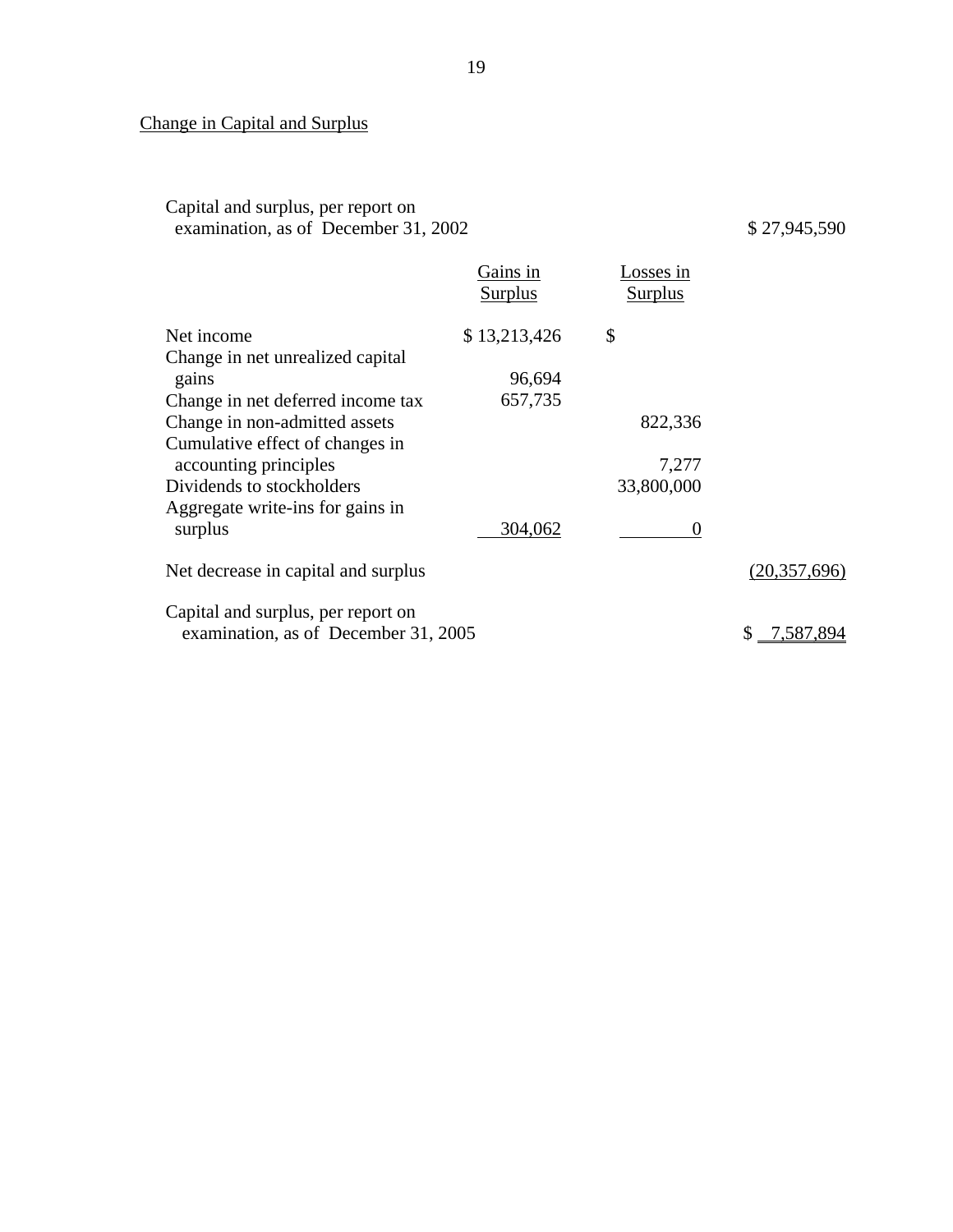**Change in Capital and Surplus** 

Change in Capital and Surplus<br>Capital and surplus, per report on examination, as of December 31, 2002 \$ 27,945,590

|                                                                            | Gains in<br><b>Surplus</b> | Losses in<br><b>Surplus</b> |                 |
|----------------------------------------------------------------------------|----------------------------|-----------------------------|-----------------|
| Net income                                                                 | \$13,213,426               | \$                          |                 |
| Change in net unrealized capital                                           |                            |                             |                 |
| gains                                                                      | 96,694                     |                             |                 |
| Change in net deferred income tax                                          | 657,735                    |                             |                 |
| Change in non-admitted assets                                              |                            | 822,336                     |                 |
| Cumulative effect of changes in<br>accounting principles                   |                            | 7,277                       |                 |
| Dividends to stockholders                                                  |                            | 33,800,000                  |                 |
| Aggregate write-ins for gains in                                           |                            |                             |                 |
| surplus                                                                    | 304,062                    | $\theta$                    |                 |
| Net decrease in capital and surplus                                        |                            |                             | (20, 357, 696)  |
| Capital and surplus, per report on<br>examination, as of December 31, 2005 |                            |                             | 7,587,894<br>\$ |
|                                                                            |                            |                             |                 |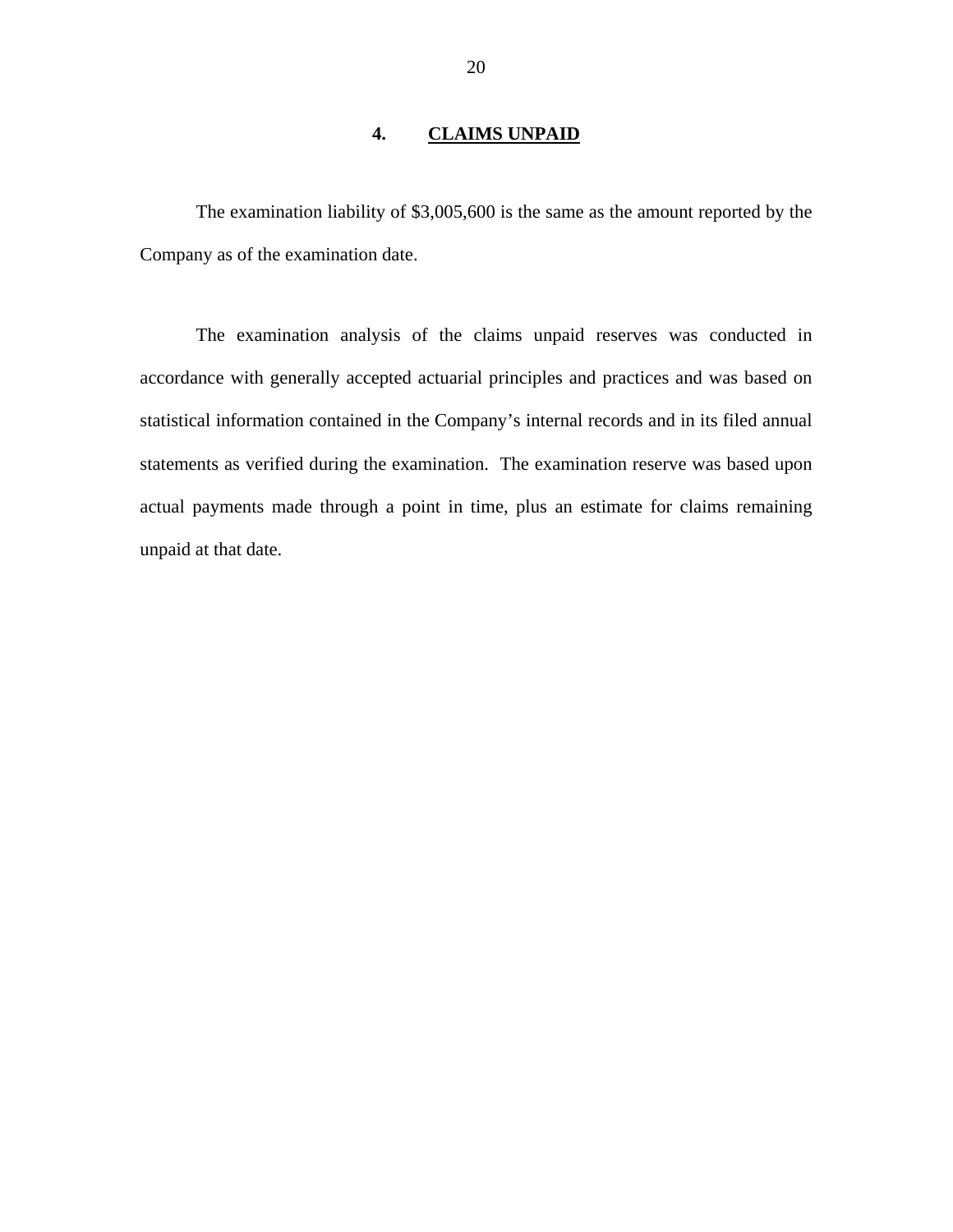# **4. CLAIMS UNPAID**

<span id="page-21-0"></span>The examination liability of \$3,005,600 is the same as the amount reported by the Company as of the examination date.

The examination analysis of the claims unpaid reserves was conducted in accordance with generally accepted actuarial principles and practices and was based on statistical information contained in the Company's internal records and in its filed annual statements as verified during the examination. The examination reserve was based upon actual payments made through a point in time, plus an estimate for claims remaining unpaid at that date.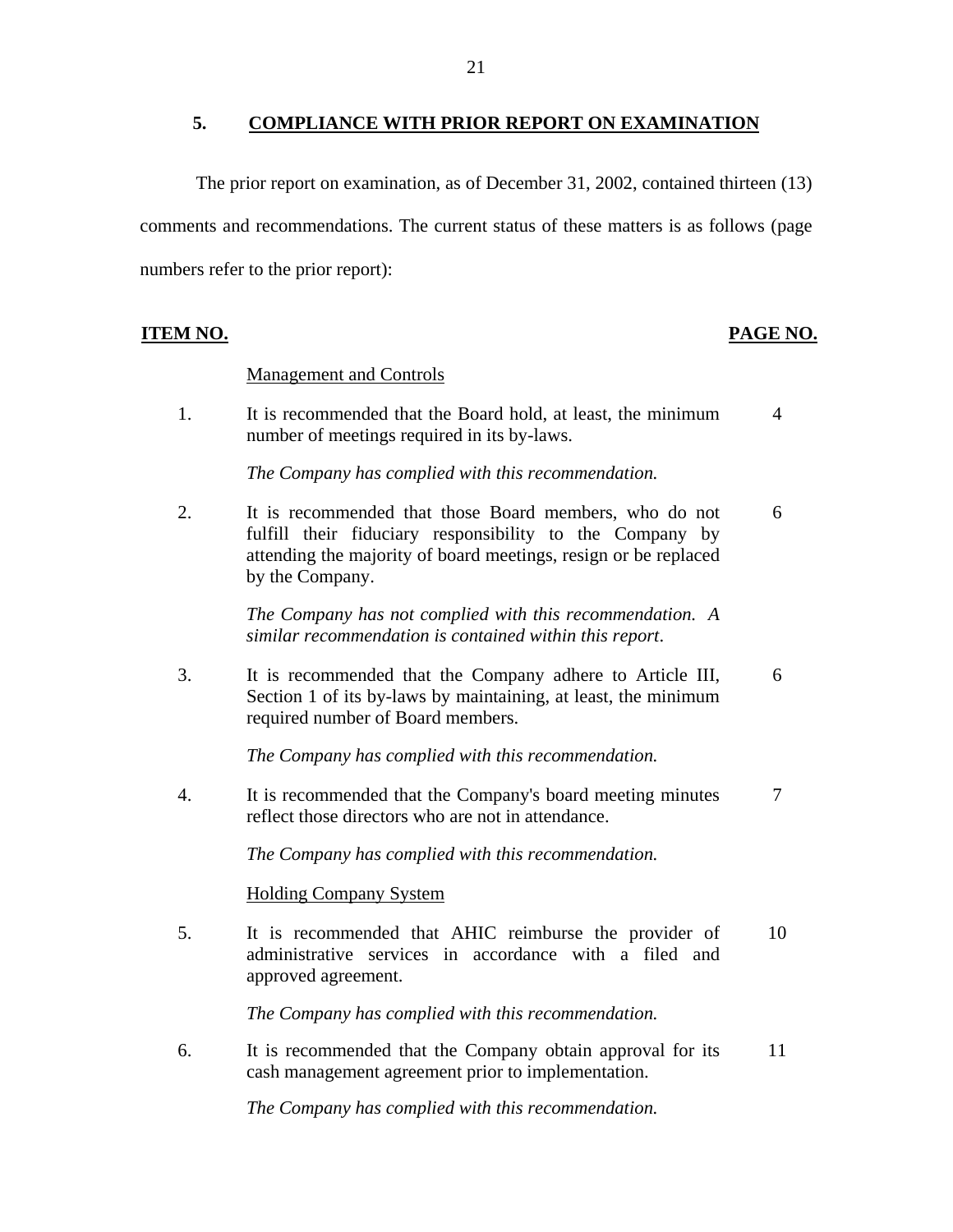#### <span id="page-22-0"></span>**5. COMPLIANCE WITH PRIOR REPORT ON EXAMINATION**

The prior report on examination, as of December 31, 2002, contained thirteen (13) comments and recommendations. The current status of these matters is as follows (page numbers refer to the prior report):

## **PAGE NO. PAGE NO.**

#### **Management and Controls**

1. It is recommended that the Board hold, at least, the minimum 4 number of meetings required in its by-laws.

*The Company has complied with this recommendation.* 

2. It is recommended that those Board members, who do not 6 fulfill their fiduciary responsibility to the Company by attending the majority of board meetings, resign or be replaced by the Company.

> *The Company has not complied with this recommendation. A similar recommendation is contained within this report*.

3. It is recommended that the Company adhere to Article III, 6 Section 1 of its by-laws by maintaining, at least, the minimum required number of Board members.

*The Company has complied with this recommendation.* 

4. It is recommended that the Company's board meeting minutes 7 reflect those directors who are not in attendance.

*The Company has complied with this recommendation.* 

#### **Holding Company System**

5. It is recommended that AHIC reimburse the provider of 10 administrative services in accordance with a filed and approved agreement.

*The Company has complied with this recommendation.* 

6. It is recommended that the Company obtain approval for its 11 cash management agreement prior to implementation.

*The Company has complied with this recommendation.*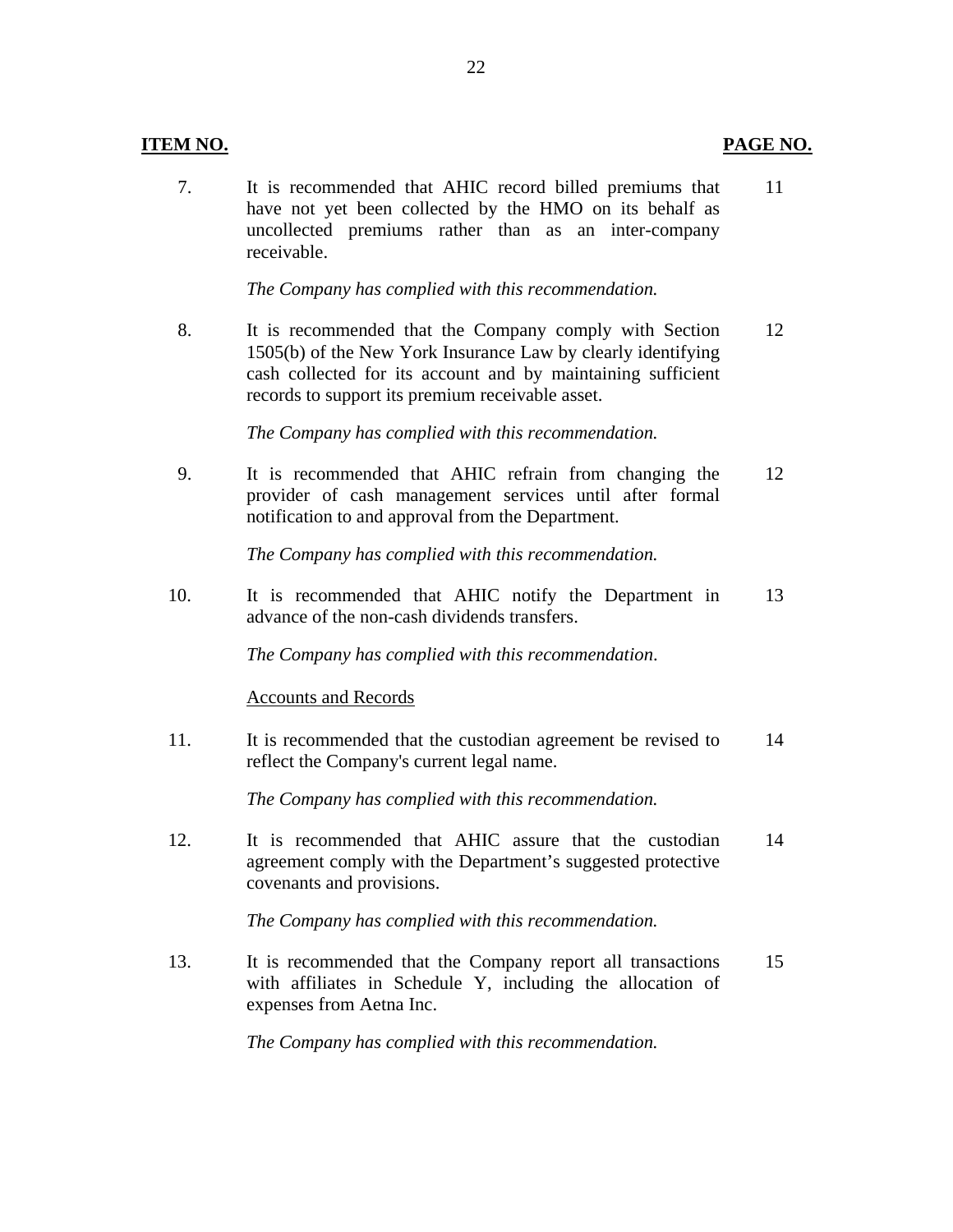#### **ITEM NO. PAGE NO.**

7. It is recommended that AHIC record billed premiums that 11 have not yet been collected by the HMO on its behalf as uncollected premiums rather than as an inter-company receivable.

*The Company has complied with this recommendation.* 

8. It is recommended that the Company comply with Section 12 1505(b) of the New York Insurance Law by clearly identifying cash collected for its account and by maintaining sufficient records to support its premium receivable asset.

*The Company has complied with this recommendation.* 

9. It is recommended that AHIC refrain from changing the 12 provider of cash management services until after formal notification to and approval from the Department.

*The Company has complied with this recommendation.* 

10. It is recommended that AHIC notify the Department in 13 advance of the non-cash dividends transfers.

*The Company has complied with this recommendation*.

#### **Accounts and Records**

11. It is recommended that the custodian agreement be revised to 14 reflect the Company's current legal name.

*The Company has complied with this recommendation.* 

12. It is recommended that AHIC assure that the custodian 14 agreement comply with the Department's suggested protective covenants and provisions.

*The Company has complied with this recommendation.* 

13. It is recommended that the Company report all transactions 15 with affiliates in Schedule Y, including the allocation of expenses from Aetna Inc.

*The Company has complied with this recommendation.*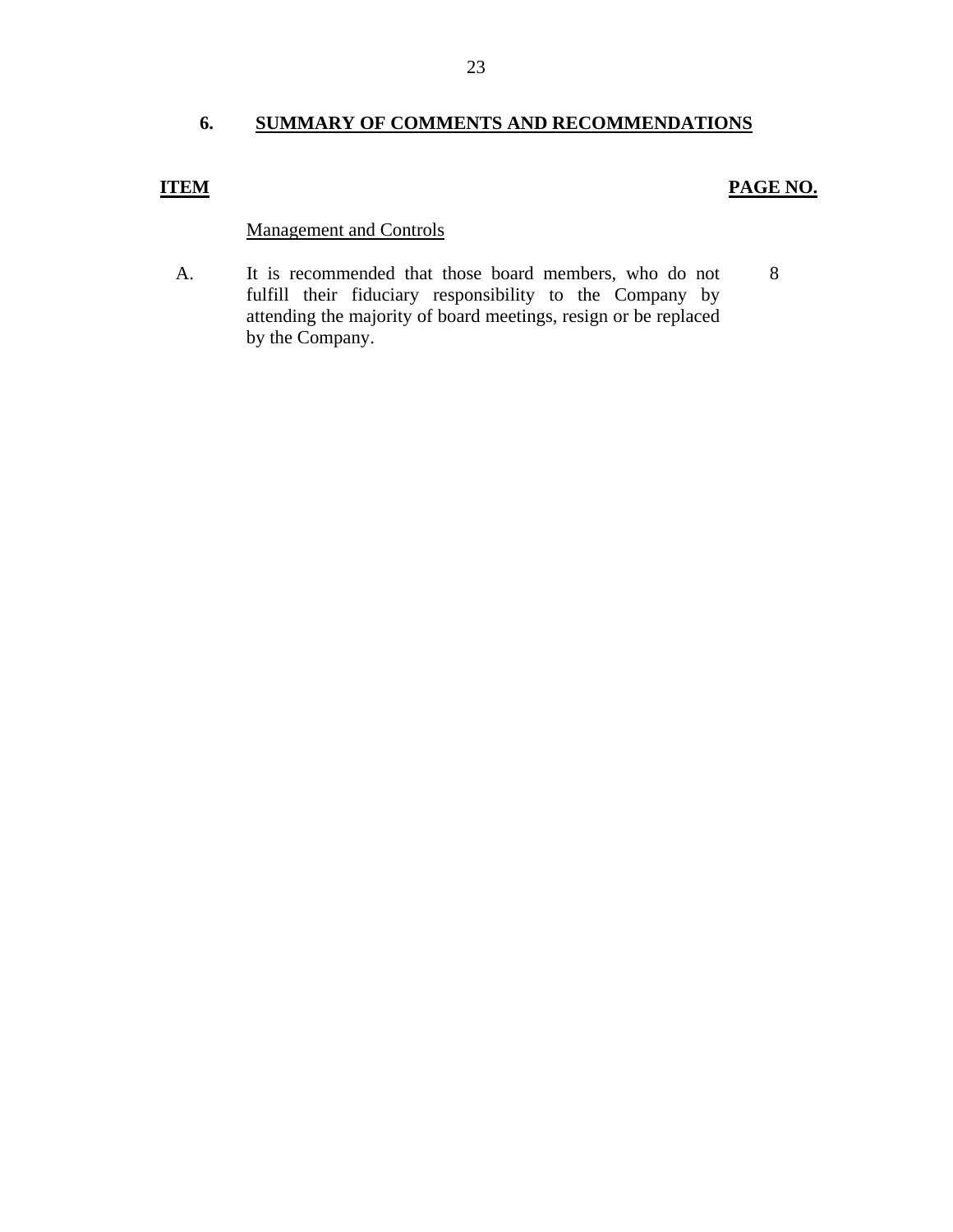## <span id="page-24-0"></span>**6. SUMMARY OF COMMENTS AND RECOMMENDATIONS**

## **ITEM**

## **PAGE NO.**

## **Management and Controls**

A. It is recommended that those board members, who do not 8 fulfill their fiduciary responsibility to the Company by attending the majority of board meetings, resign or be replaced by the Company.